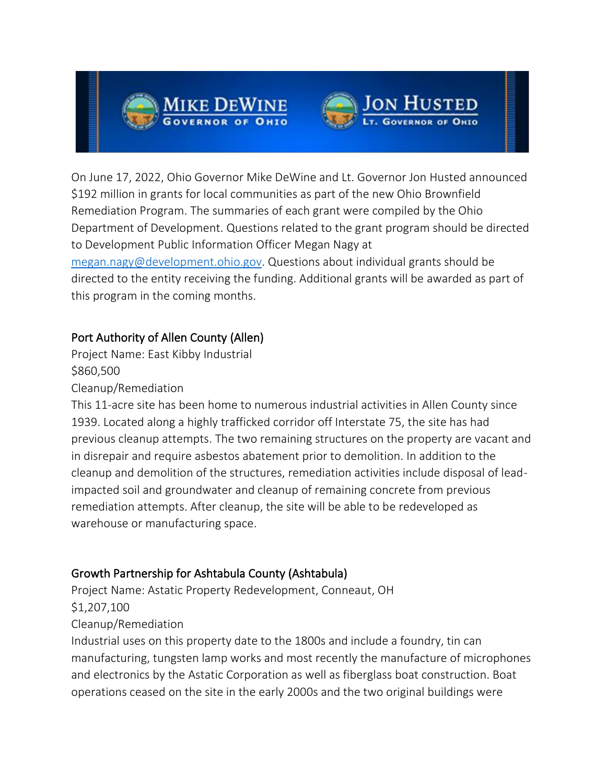



On June 17, 2022, Ohio Governor Mike DeWine and Lt. Governor Jon Husted announced \$192 million in grants for local communities as part of the new Ohio Brownfield Remediation Program. The summaries of each grant were compiled by the Ohio Department of Development. Questions related to the grant program should be directed to Development Public Information Officer Megan Nagy at [megan.nagy@development.ohio.gov.](mailto:megan.nagy@development.ohio.gov) Questions about individual grants should be directed to the entity receiving the funding. Additional grants will be awarded as part of this program in the coming months.

# Port Authority of Allen County (Allen)

Project Name: East Kibby Industrial \$860,500

Cleanup/Remediation

This 11-acre site has been home to numerous industrial activities in Allen County since 1939. Located along a highly trafficked corridor off Interstate 75, the site has had previous cleanup attempts. The two remaining structures on the property are vacant and in disrepair and require asbestos abatement prior to demolition. In addition to the cleanup and demolition of the structures, remediation activities include disposal of leadimpacted soil and groundwater and cleanup of remaining concrete from previous remediation attempts. After cleanup, the site will be able to be redeveloped as warehouse or manufacturing space.

## Growth Partnership for Ashtabula County (Ashtabula)

Project Name: Astatic Property Redevelopment, Conneaut, OH \$1,207,100 Cleanup/Remediation

Industrial uses on this property date to the 1800s and include a foundry, tin can manufacturing, tungsten lamp works and most recently the manufacture of microphones and electronics by the Astatic Corporation as well as fiberglass boat construction. Boat operations ceased on the site in the early 2000s and the two original buildings were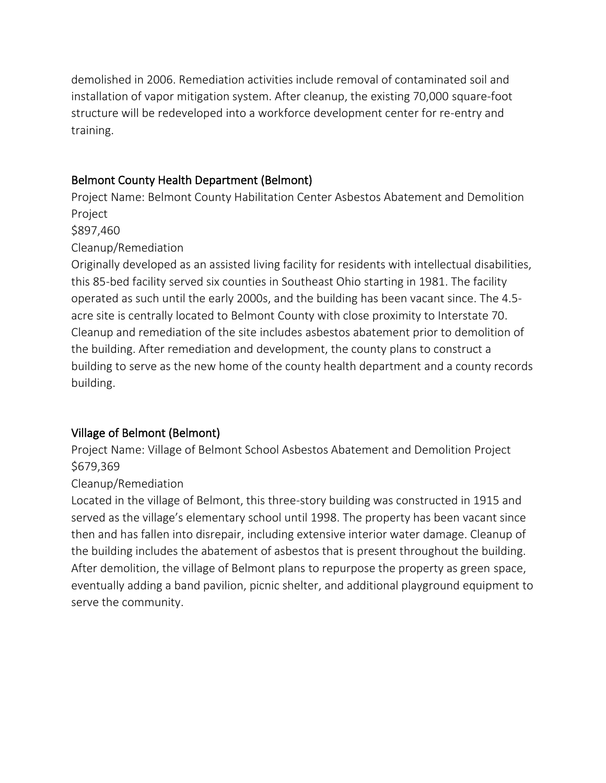demolished in 2006. Remediation activities include removal of contaminated soil and installation of vapor mitigation system. After cleanup, the existing 70,000 square-foot structure will be redeveloped into a workforce development center for re-entry and training.

## Belmont County Health Department (Belmont)

Project Name: Belmont County Habilitation Center Asbestos Abatement and Demolition Project

\$897,460

#### Cleanup/Remediation

Originally developed as an assisted living facility for residents with intellectual disabilities, this 85-bed facility served six counties in Southeast Ohio starting in 1981. The facility operated as such until the early 2000s, and the building has been vacant since. The 4.5 acre site is centrally located to Belmont County with close proximity to Interstate 70. Cleanup and remediation of the site includes asbestos abatement prior to demolition of the building. After remediation and development, the county plans to construct a building to serve as the new home of the county health department and a county records building.

## Village of Belmont (Belmont)

Project Name: Village of Belmont School Asbestos Abatement and Demolition Project \$679,369

## Cleanup/Remediation

Located in the village of Belmont, this three-story building was constructed in 1915 and served as the village's elementary school until 1998. The property has been vacant since then and has fallen into disrepair, including extensive interior water damage. Cleanup of the building includes the abatement of asbestos that is present throughout the building. After demolition, the village of Belmont plans to repurpose the property as green space, eventually adding a band pavilion, picnic shelter, and additional playground equipment to serve the community.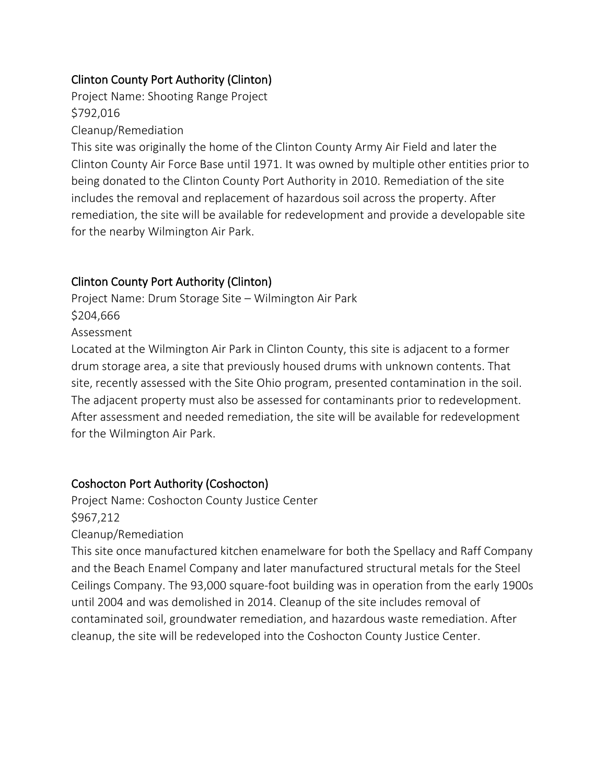## Clinton County Port Authority (Clinton)

Project Name: Shooting Range Project \$792,016

Cleanup/Remediation

This site was originally the home of the Clinton County Army Air Field and later the Clinton County Air Force Base until 1971. It was owned by multiple other entities prior to being donated to the Clinton County Port Authority in 2010. Remediation of the site includes the removal and replacement of hazardous soil across the property. After remediation, the site will be available for redevelopment and provide a developable site for the nearby Wilmington Air Park.

# Clinton County Port Authority (Clinton)

Project Name: Drum Storage Site – Wilmington Air Park \$204,666 Assessment

Located at the Wilmington Air Park in Clinton County, this site is adjacent to a former drum storage area, a site that previously housed drums with unknown contents. That site, recently assessed with the Site Ohio program, presented contamination in the soil. The adjacent property must also be assessed for contaminants prior to redevelopment. After assessment and needed remediation, the site will be available for redevelopment for the Wilmington Air Park.

## Coshocton Port Authority (Coshocton)

Project Name: Coshocton County Justice Center \$967,212 Cleanup/Remediation

This site once manufactured kitchen enamelware for both the Spellacy and Raff Company and the Beach Enamel Company and later manufactured structural metals for the Steel Ceilings Company. The 93,000 square-foot building was in operation from the early 1900s until 2004 and was demolished in 2014. Cleanup of the site includes removal of contaminated soil, groundwater remediation, and hazardous waste remediation. After cleanup, the site will be redeveloped into the Coshocton County Justice Center.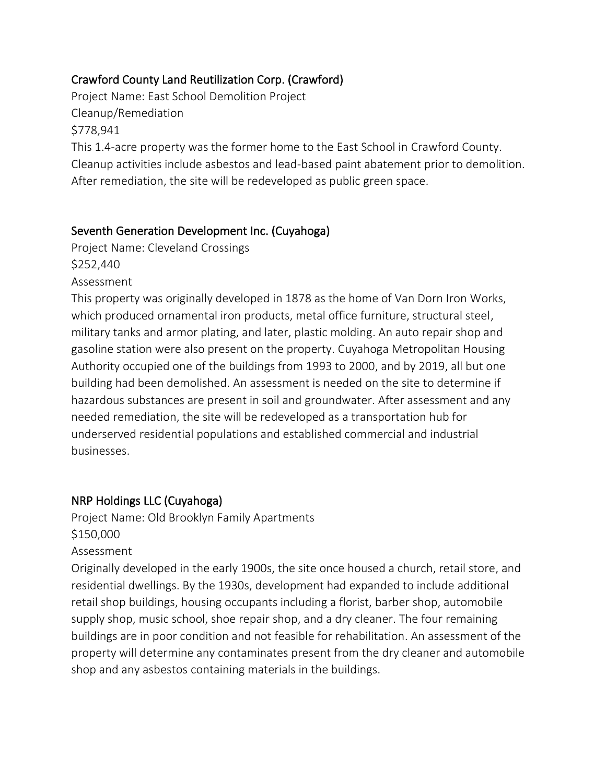## Crawford County Land Reutilization Corp. (Crawford)

Project Name: East School Demolition Project Cleanup/Remediation \$778,941 This 1.4-acre property was the former home to the East School in Crawford County. Cleanup activities include asbestos and lead-based paint abatement prior to demolition. After remediation, the site will be redeveloped as public green space.

#### Seventh Generation Development Inc. (Cuyahoga)

Project Name: Cleveland Crossings \$252,440

Assessment

This property was originally developed in 1878 as the home of Van Dorn Iron Works, which produced ornamental iron products, metal office furniture, structural steel, military tanks and armor plating, and later, plastic molding. An auto repair shop and gasoline station were also present on the property. Cuyahoga Metropolitan Housing Authority occupied one of the buildings from 1993 to 2000, and by 2019, all but one building had been demolished. An assessment is needed on the site to determine if hazardous substances are present in soil and groundwater. After assessment and any needed remediation, the site will be redeveloped as a transportation hub for underserved residential populations and established commercial and industrial businesses.

## NRP Holdings LLC (Cuyahoga)

Project Name: Old Brooklyn Family Apartments \$150,000

#### Assessment

Originally developed in the early 1900s, the site once housed a church, retail store, and residential dwellings. By the 1930s, development had expanded to include additional retail shop buildings, housing occupants including a florist, barber shop, automobile supply shop, music school, shoe repair shop, and a dry cleaner. The four remaining buildings are in poor condition and not feasible for rehabilitation. An assessment of the property will determine any contaminates present from the dry cleaner and automobile shop and any asbestos containing materials in the buildings.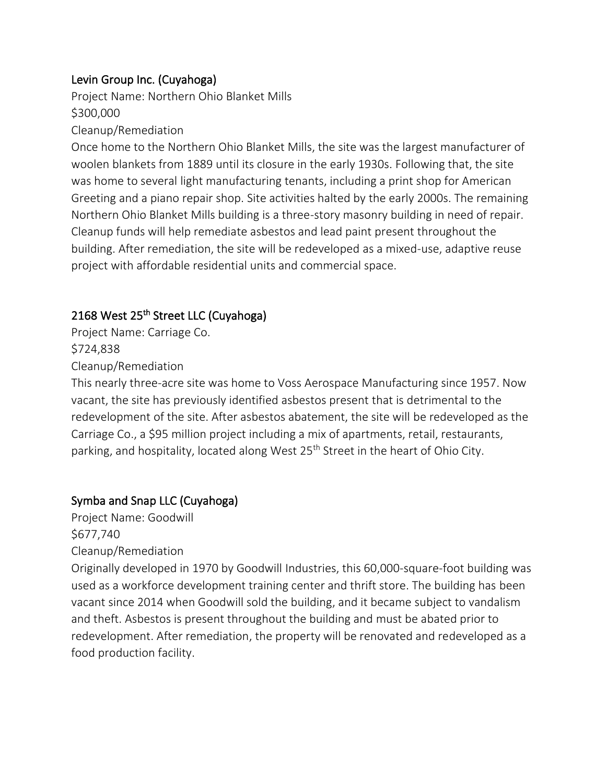## Levin Group Inc. (Cuyahoga)

Project Name: Northern Ohio Blanket Mills \$300,000

## Cleanup/Remediation

Once home to the Northern Ohio Blanket Mills, the site was the largest manufacturer of woolen blankets from 1889 until its closure in the early 1930s. Following that, the site was home to several light manufacturing tenants, including a print shop for American Greeting and a piano repair shop. Site activities halted by the early 2000s. The remaining Northern Ohio Blanket Mills building is a three-story masonry building in need of repair. Cleanup funds will help remediate asbestos and lead paint present throughout the building. After remediation, the site will be redeveloped as a mixed-use, adaptive reuse project with affordable residential units and commercial space.

# 2168 West 25<sup>th</sup> Street LLC (Cuyahoga)

Project Name: Carriage Co. \$724,838 Cleanup/Remediation

This nearly three-acre site was home to Voss Aerospace Manufacturing since 1957. Now vacant, the site has previously identified asbestos present that is detrimental to the redevelopment of the site. After asbestos abatement, the site will be redeveloped as the Carriage Co., a \$95 million project including a mix of apartments, retail, restaurants, parking, and hospitality, located along West 25<sup>th</sup> Street in the heart of Ohio City.

# Symba and Snap LLC (Cuyahoga)

Project Name: Goodwill \$677,740 Cleanup/Remediation

Originally developed in 1970 by Goodwill Industries, this 60,000-square-foot building was used as a workforce development training center and thrift store. The building has been vacant since 2014 when Goodwill sold the building, and it became subject to vandalism and theft. Asbestos is present throughout the building and must be abated prior to redevelopment. After remediation, the property will be renovated and redeveloped as a food production facility.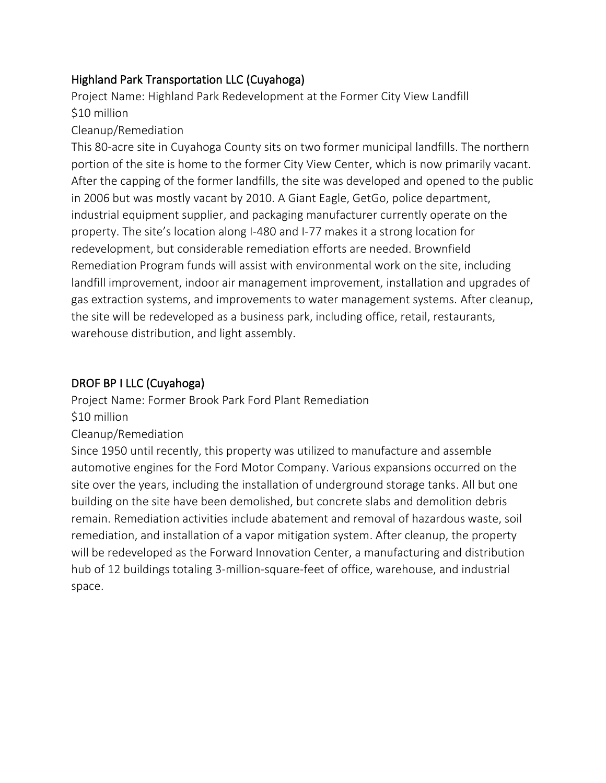# Highland Park Transportation LLC (Cuyahoga)

Project Name: Highland Park Redevelopment at the Former City View Landfill \$10 million

## Cleanup/Remediation

This 80-acre site in Cuyahoga County sits on two former municipal landfills. The northern portion of the site is home to the former City View Center, which is now primarily vacant. After the capping of the former landfills, the site was developed and opened to the public in 2006 but was mostly vacant by 2010. A Giant Eagle, GetGo, police department, industrial equipment supplier, and packaging manufacturer currently operate on the property. The site's location along I-480 and I-77 makes it a strong location for redevelopment, but considerable remediation efforts are needed. Brownfield Remediation Program funds will assist with environmental work on the site, including landfill improvement, indoor air management improvement, installation and upgrades of gas extraction systems, and improvements to water management systems. After cleanup, the site will be redeveloped as a business park, including office, retail, restaurants, warehouse distribution, and light assembly.

## DROF BP I LLC (Cuyahoga)

Project Name: Former Brook Park Ford Plant Remediation \$10 million

Cleanup/Remediation

Since 1950 until recently, this property was utilized to manufacture and assemble automotive engines for the Ford Motor Company. Various expansions occurred on the site over the years, including the installation of underground storage tanks. All but one building on the site have been demolished, but concrete slabs and demolition debris remain. Remediation activities include abatement and removal of hazardous waste, soil remediation, and installation of a vapor mitigation system. After cleanup, the property will be redeveloped as the Forward Innovation Center, a manufacturing and distribution hub of 12 buildings totaling 3-million-square-feet of office, warehouse, and industrial space.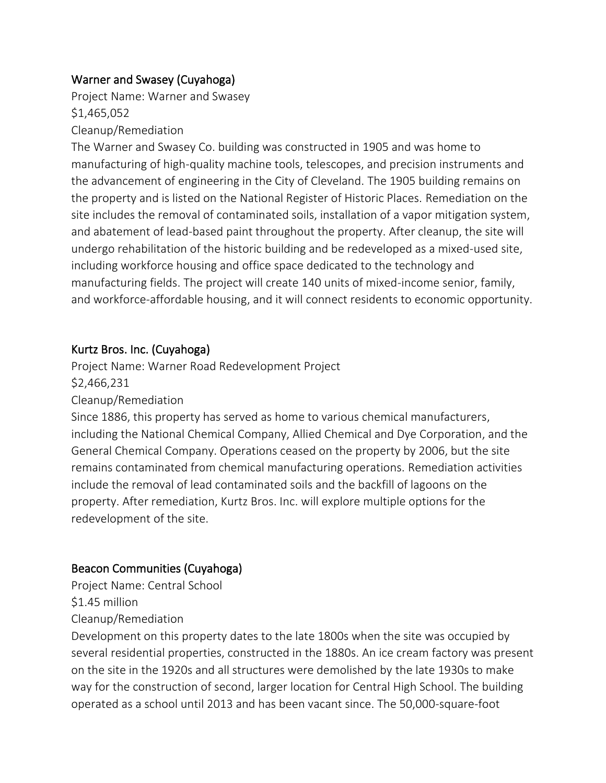### Warner and Swasey (Cuyahoga)

Project Name: Warner and Swasey \$1,465,052

#### Cleanup/Remediation

The Warner and Swasey Co. building was constructed in 1905 and was home to manufacturing of high-quality machine tools, telescopes, and precision instruments and the advancement of engineering in the City of Cleveland. The 1905 building remains on the property and is listed on the National Register of Historic Places. Remediation on the site includes the removal of contaminated soils, installation of a vapor mitigation system, and abatement of lead-based paint throughout the property. After cleanup, the site will undergo rehabilitation of the historic building and be redeveloped as a mixed-used site, including workforce housing and office space dedicated to the technology and manufacturing fields. The project will create 140 units of mixed-income senior, family, and workforce-affordable housing, and it will connect residents to economic opportunity.

#### Kurtz Bros. Inc. (Cuyahoga)

Project Name: Warner Road Redevelopment Project \$2,466,231

Cleanup/Remediation

Since 1886, this property has served as home to various chemical manufacturers, including the National Chemical Company, Allied Chemical and Dye Corporation, and the General Chemical Company. Operations ceased on the property by 2006, but the site remains contaminated from chemical manufacturing operations. Remediation activities include the removal of lead contaminated soils and the backfill of lagoons on the property. After remediation, Kurtz Bros. Inc. will explore multiple options for the redevelopment of the site.

#### Beacon Communities (Cuyahoga)

Project Name: Central School

\$1.45 million

Cleanup/Remediation

Development on this property dates to the late 1800s when the site was occupied by several residential properties, constructed in the 1880s. An ice cream factory was present on the site in the 1920s and all structures were demolished by the late 1930s to make way for the construction of second, larger location for Central High School. The building operated as a school until 2013 and has been vacant since. The 50,000-square-foot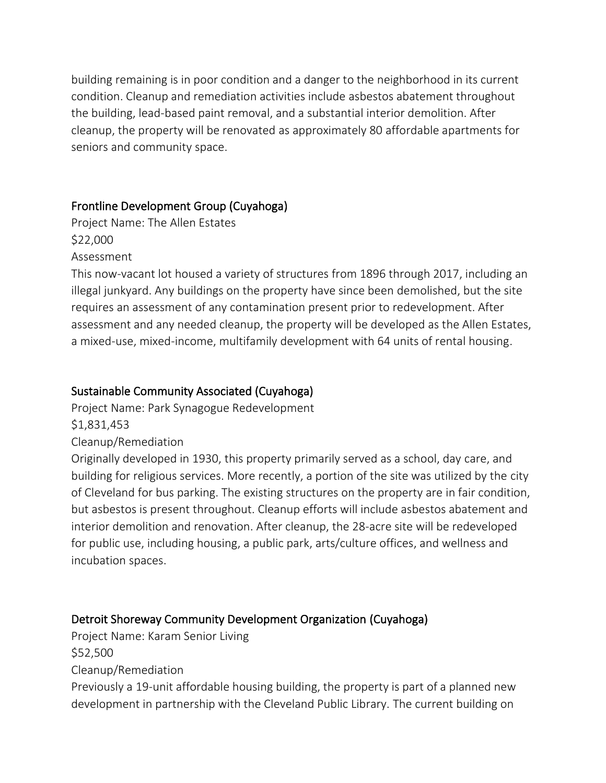building remaining is in poor condition and a danger to the neighborhood in its current condition. Cleanup and remediation activities include asbestos abatement throughout the building, lead-based paint removal, and a substantial interior demolition. After cleanup, the property will be renovated as approximately 80 affordable apartments for seniors and community space.

## Frontline Development Group (Cuyahoga)

Project Name: The Allen Estates \$22,000 Assessment

This now-vacant lot housed a variety of structures from 1896 through 2017, including an illegal junkyard. Any buildings on the property have since been demolished, but the site requires an assessment of any contamination present prior to redevelopment. After assessment and any needed cleanup, the property will be developed as the Allen Estates, a mixed-use, mixed-income, multifamily development with 64 units of rental housing.

## Sustainable Community Associated (Cuyahoga)

Project Name: Park Synagogue Redevelopment \$1,831,453

### Cleanup/Remediation

Originally developed in 1930, this property primarily served as a school, day care, and building for religious services. More recently, a portion of the site was utilized by the city of Cleveland for bus parking. The existing structures on the property are in fair condition, but asbestos is present throughout. Cleanup efforts will include asbestos abatement and interior demolition and renovation. After cleanup, the 28-acre site will be redeveloped for public use, including housing, a public park, arts/culture offices, and wellness and incubation spaces.

# Detroit Shoreway Community Development Organization (Cuyahoga)

Project Name: Karam Senior Living

\$52,500

Cleanup/Remediation

Previously a 19-unit affordable housing building, the property is part of a planned new development in partnership with the Cleveland Public Library. The current building on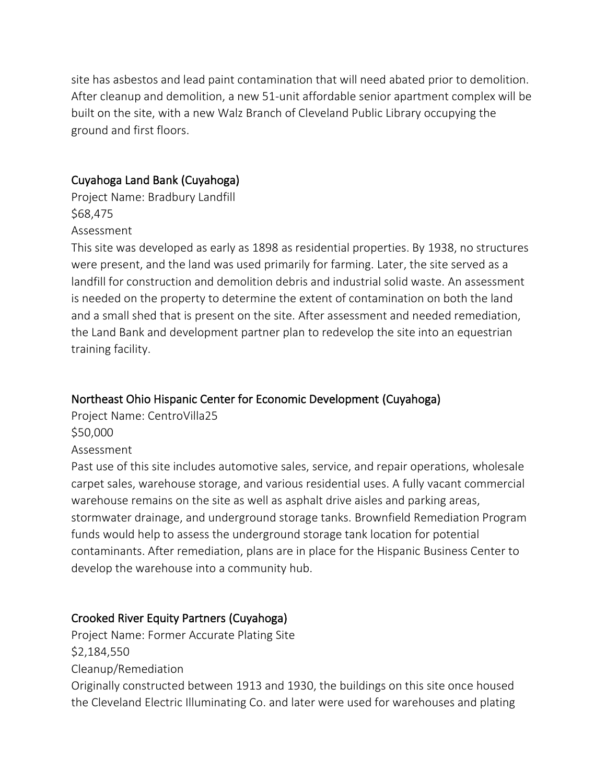site has asbestos and lead paint contamination that will need abated prior to demolition. After cleanup and demolition, a new 51-unit affordable senior apartment complex will be built on the site, with a new Walz Branch of Cleveland Public Library occupying the ground and first floors.

### Cuyahoga Land Bank (Cuyahoga)

Project Name: Bradbury Landfill \$68,475 Assessment

This site was developed as early as 1898 as residential properties. By 1938, no structures were present, and the land was used primarily for farming. Later, the site served as a landfill for construction and demolition debris and industrial solid waste. An assessment is needed on the property to determine the extent of contamination on both the land and a small shed that is present on the site. After assessment and needed remediation, the Land Bank and development partner plan to redevelop the site into an equestrian training facility.

## Northeast Ohio Hispanic Center for Economic Development (Cuyahoga)

Project Name: CentroVilla25 \$50,000 Assessment

Past use of this site includes automotive sales, service, and repair operations, wholesale carpet sales, warehouse storage, and various residential uses. A fully vacant commercial warehouse remains on the site as well as asphalt drive aisles and parking areas, stormwater drainage, and underground storage tanks. Brownfield Remediation Program funds would help to assess the underground storage tank location for potential contaminants. After remediation, plans are in place for the Hispanic Business Center to develop the warehouse into a community hub.

## Crooked River Equity Partners (Cuyahoga)

Project Name: Former Accurate Plating Site \$2,184,550 Cleanup/Remediation Originally constructed between 1913 and 1930, the buildings on this site once housed the Cleveland Electric Illuminating Co. and later were used for warehouses and plating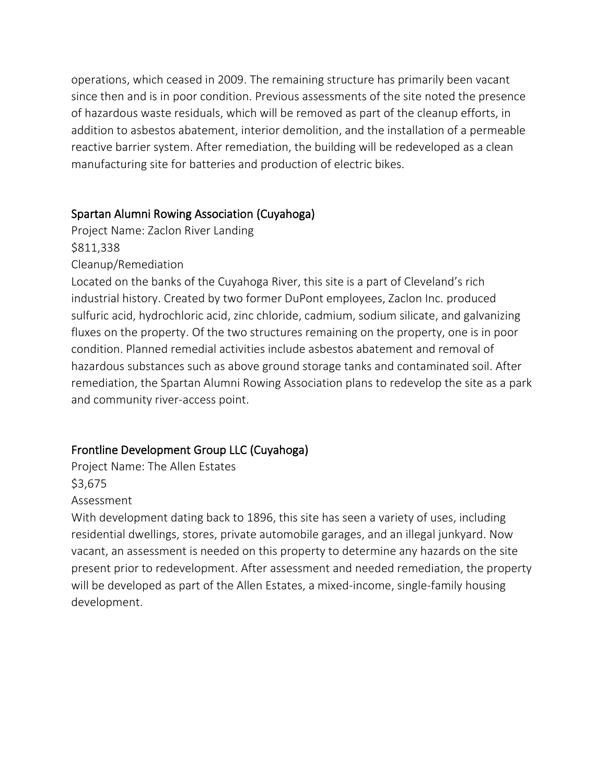operations, which ceased in 2009. The remaining structure has primarily been vacant since then and is in poor condition. Previous assessments of the site noted the presence of hazardous waste residuals, which will be removed as part of the cleanup efforts, in addition to asbestos abatement, interior demolition, and the installation of a permeable reactive barrier system. After remediation, the building will be redeveloped as a clean manufacturing site for batteries and production of electric bikes.

### Spartan Alumni Rowing Association (Cuyahoga)

Project Name: Zaclon River Landing

\$811,338

Cleanup/Remediation

Located on the banks of the Cuyahoga River, this site is a part of Cleveland's rich industrial history. Created by two former DuPont employees, Zaclon Inc. produced sulfuric acid, hydrochloric acid, zinc chloride, cadmium, sodium silicate, and galvanizing fluxes on the property. Of the two structures remaining on the property, one is in poor condition. Planned remedial activities include asbestos abatement and removal of hazardous substances such as above ground storage tanks and contaminated soil. After remediation, the Spartan Alumni Rowing Association plans to redevelop the site as a park and community river-access point.

# Frontline Development Group LLC (Cuyahoga)

Project Name: The Allen Estates \$3,675 Assessment

With development dating back to 1896, this site has seen a variety of uses, including residential dwellings, stores, private automobile garages, and an illegal junkyard. Now vacant, an assessment is needed on this property to determine any hazards on the site present prior to redevelopment. After assessment and needed remediation, the property will be developed as part of the Allen Estates, a mixed-income, single-family housing development.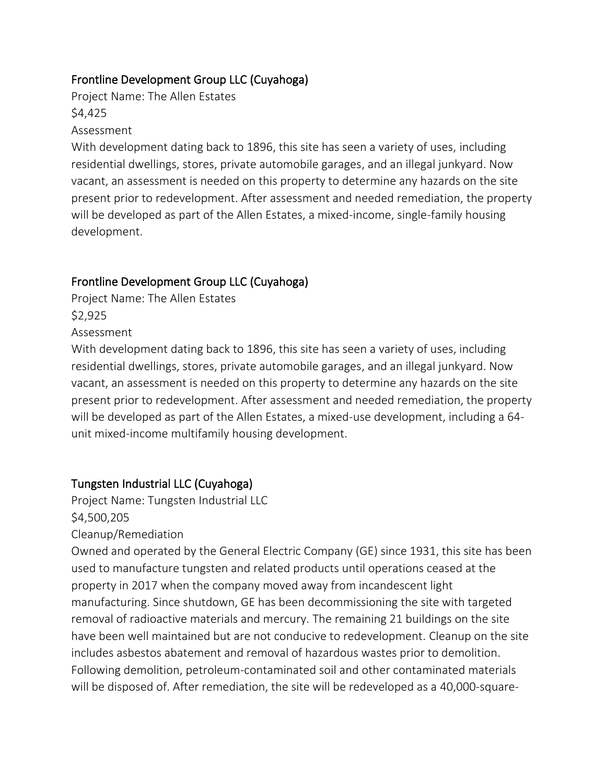## Frontline Development Group LLC (Cuyahoga)

Project Name: The Allen Estates \$4,425

Assessment

With development dating back to 1896, this site has seen a variety of uses, including residential dwellings, stores, private automobile garages, and an illegal junkyard. Now vacant, an assessment is needed on this property to determine any hazards on the site present prior to redevelopment. After assessment and needed remediation, the property will be developed as part of the Allen Estates, a mixed-income, single-family housing development.

# Frontline Development Group LLC (Cuyahoga)

Project Name: The Allen Estates \$2,925

Assessment

With development dating back to 1896, this site has seen a variety of uses, including residential dwellings, stores, private automobile garages, and an illegal junkyard. Now vacant, an assessment is needed on this property to determine any hazards on the site present prior to redevelopment. After assessment and needed remediation, the property will be developed as part of the Allen Estates, a mixed-use development, including a 64 unit mixed-income multifamily housing development.

# Tungsten Industrial LLC (Cuyahoga)

Project Name: Tungsten Industrial LLC \$4,500,205

Cleanup/Remediation

Owned and operated by the General Electric Company (GE) since 1931, this site has been used to manufacture tungsten and related products until operations ceased at the property in 2017 when the company moved away from incandescent light manufacturing. Since shutdown, GE has been decommissioning the site with targeted removal of radioactive materials and mercury. The remaining 21 buildings on the site have been well maintained but are not conducive to redevelopment. Cleanup on the site includes asbestos abatement and removal of hazardous wastes prior to demolition. Following demolition, petroleum-contaminated soil and other contaminated materials will be disposed of. After remediation, the site will be redeveloped as a 40,000-square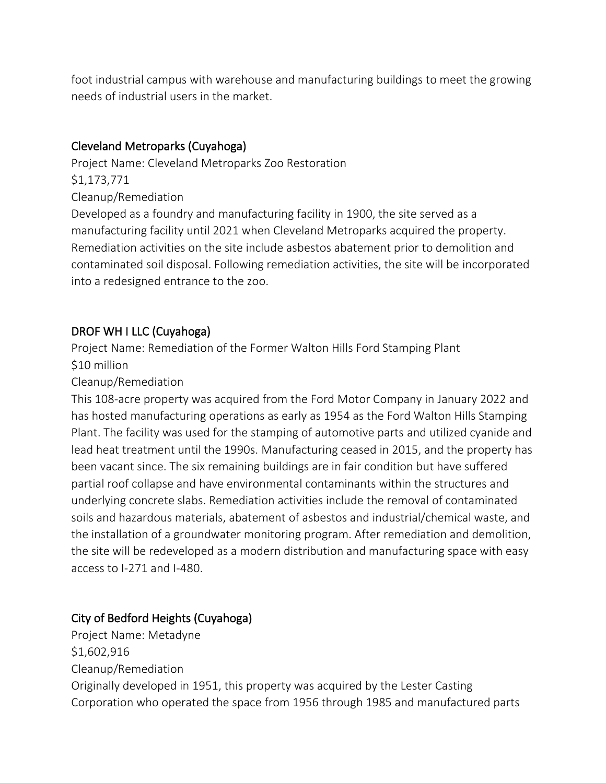foot industrial campus with warehouse and manufacturing buildings to meet the growing needs of industrial users in the market.

## Cleveland Metroparks (Cuyahoga)

Project Name: Cleveland Metroparks Zoo Restoration

\$1,173,771

Cleanup/Remediation

Developed as a foundry and manufacturing facility in 1900, the site served as a manufacturing facility until 2021 when Cleveland Metroparks acquired the property. Remediation activities on the site include asbestos abatement prior to demolition and contaminated soil disposal. Following remediation activities, the site will be incorporated into a redesigned entrance to the zoo.

## DROF WH I LLC (Cuyahoga)

Project Name: Remediation of the Former Walton Hills Ford Stamping Plant \$10 million

Cleanup/Remediation

This 108-acre property was acquired from the Ford Motor Company in January 2022 and has hosted manufacturing operations as early as 1954 as the Ford Walton Hills Stamping Plant. The facility was used for the stamping of automotive parts and utilized cyanide and lead heat treatment until the 1990s. Manufacturing ceased in 2015, and the property has been vacant since. The six remaining buildings are in fair condition but have suffered partial roof collapse and have environmental contaminants within the structures and underlying concrete slabs. Remediation activities include the removal of contaminated soils and hazardous materials, abatement of asbestos and industrial/chemical waste, and the installation of a groundwater monitoring program. After remediation and demolition, the site will be redeveloped as a modern distribution and manufacturing space with easy access to I-271 and I-480.

# City of Bedford Heights (Cuyahoga)

Project Name: Metadyne \$1,602,916 Cleanup/Remediation Originally developed in 1951, this property was acquired by the Lester Casting Corporation who operated the space from 1956 through 1985 and manufactured parts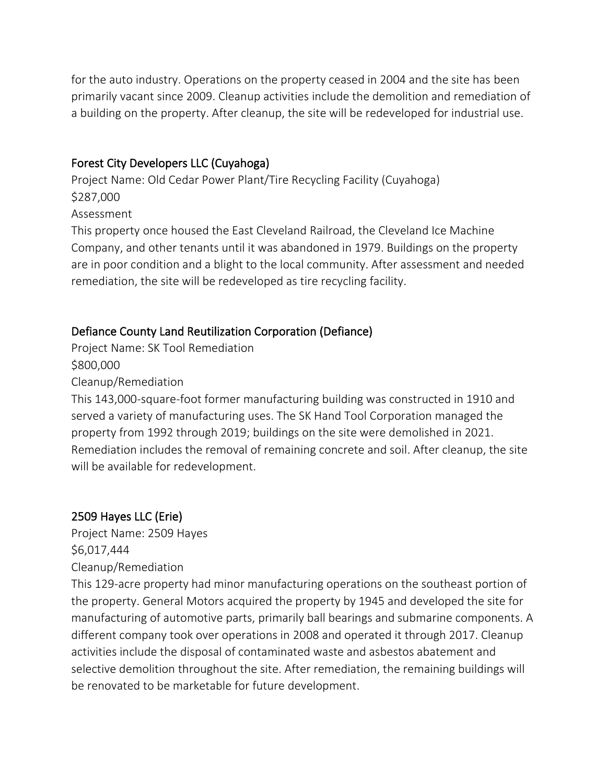for the auto industry. Operations on the property ceased in 2004 and the site has been primarily vacant since 2009. Cleanup activities include the demolition and remediation of a building on the property. After cleanup, the site will be redeveloped for industrial use.

#### Forest City Developers LLC (Cuyahoga)

Project Name: Old Cedar Power Plant/Tire Recycling Facility (Cuyahoga) \$287,000 Assessment

This property once housed the East Cleveland Railroad, the Cleveland Ice Machine Company, and other tenants until it was abandoned in 1979. Buildings on the property are in poor condition and a blight to the local community. After assessment and needed remediation, the site will be redeveloped as tire recycling facility.

## Defiance County Land Reutilization Corporation (Defiance)

Project Name: SK Tool Remediation \$800,000

Cleanup/Remediation

This 143,000-square-foot former manufacturing building was constructed in 1910 and served a variety of manufacturing uses. The SK Hand Tool Corporation managed the property from 1992 through 2019; buildings on the site were demolished in 2021. Remediation includes the removal of remaining concrete and soil. After cleanup, the site will be available for redevelopment.

## 2509 Hayes LLC (Erie)

Project Name: 2509 Hayes \$6,017,444 Cleanup/Remediation

This 129-acre property had minor manufacturing operations on the southeast portion of the property. General Motors acquired the property by 1945 and developed the site for manufacturing of automotive parts, primarily ball bearings and submarine components. A different company took over operations in 2008 and operated it through 2017. Cleanup activities include the disposal of contaminated waste and asbestos abatement and selective demolition throughout the site. After remediation, the remaining buildings will be renovated to be marketable for future development.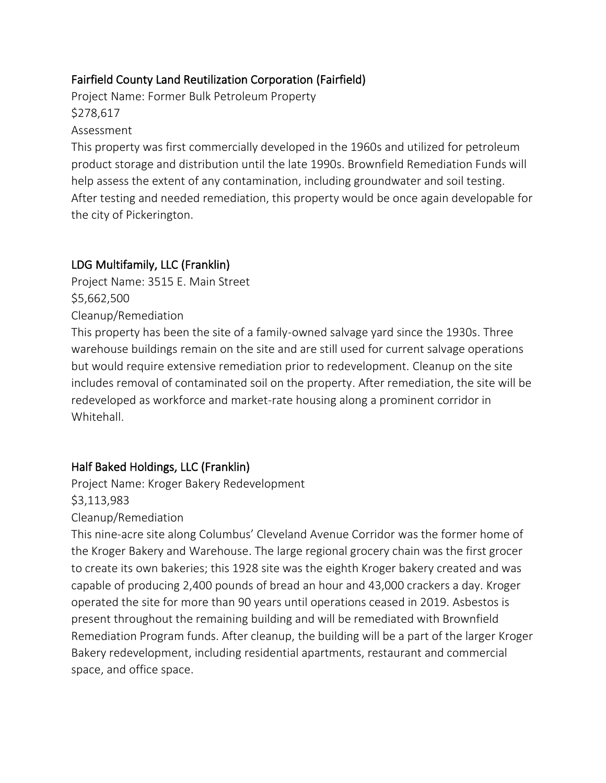## Fairfield County Land Reutilization Corporation (Fairfield)

Project Name: Former Bulk Petroleum Property \$278,617

#### Assessment

This property was first commercially developed in the 1960s and utilized for petroleum product storage and distribution until the late 1990s. Brownfield Remediation Funds will help assess the extent of any contamination, including groundwater and soil testing. After testing and needed remediation, this property would be once again developable for the city of Pickerington.

## LDG Multifamily, LLC (Franklin)

Project Name: 3515 E. Main Street \$5,662,500 Cleanup/Remediation

This property has been the site of a family-owned salvage yard since the 1930s. Three warehouse buildings remain on the site and are still used for current salvage operations but would require extensive remediation prior to redevelopment. Cleanup on the site includes removal of contaminated soil on the property. After remediation, the site will be redeveloped as workforce and market-rate housing along a prominent corridor in Whitehall.

## Half Baked Holdings, LLC (Franklin)

Project Name: Kroger Bakery Redevelopment \$3,113,983 Cleanup/Remediation

This nine-acre site along Columbus' Cleveland Avenue Corridor was the former home of the Kroger Bakery and Warehouse. The large regional grocery chain was the first grocer to create its own bakeries; this 1928 site was the eighth Kroger bakery created and was capable of producing 2,400 pounds of bread an hour and 43,000 crackers a day. Kroger operated the site for more than 90 years until operations ceased in 2019. Asbestos is present throughout the remaining building and will be remediated with Brownfield Remediation Program funds. After cleanup, the building will be a part of the larger Kroger Bakery redevelopment, including residential apartments, restaurant and commercial space, and office space.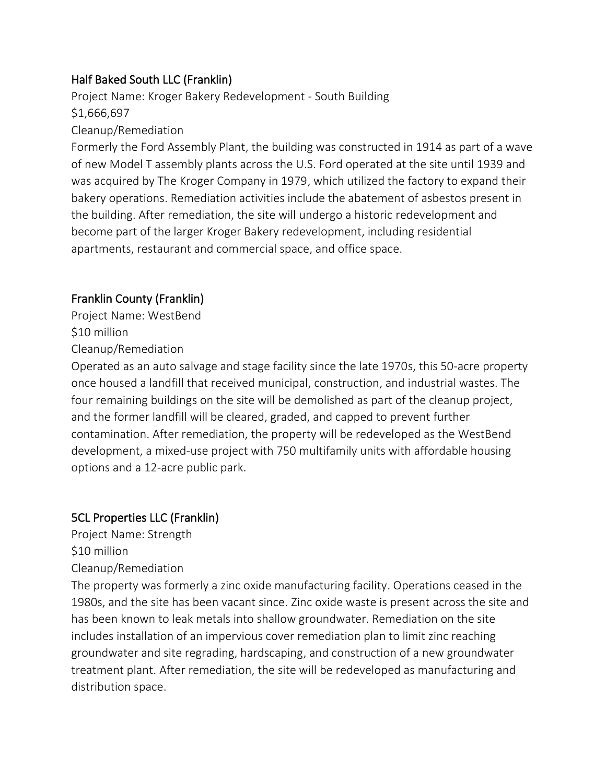## Half Baked South LLC (Franklin)

Project Name: Kroger Bakery Redevelopment - South Building \$1,666,697

#### Cleanup/Remediation

Formerly the Ford Assembly Plant, the building was constructed in 1914 as part of a wave of new Model T assembly plants across the U.S. Ford operated at the site until 1939 and was acquired by The Kroger Company in 1979, which utilized the factory to expand their bakery operations. Remediation activities include the abatement of asbestos present in the building. After remediation, the site will undergo a historic redevelopment and become part of the larger Kroger Bakery redevelopment, including residential apartments, restaurant and commercial space, and office space.

## Franklin County (Franklin)

Project Name: WestBend \$10 million Cleanup/Remediation

Operated as an auto salvage and stage facility since the late 1970s, this 50-acre property once housed a landfill that received municipal, construction, and industrial wastes. The four remaining buildings on the site will be demolished as part of the cleanup project, and the former landfill will be cleared, graded, and capped to prevent further contamination. After remediation, the property will be redeveloped as the WestBend development, a mixed-use project with 750 multifamily units with affordable housing options and a 12-acre public park.

## 5CL Properties LLC (Franklin)

Project Name: Strength

\$10 million

Cleanup/Remediation

The property was formerly a zinc oxide manufacturing facility. Operations ceased in the 1980s, and the site has been vacant since. Zinc oxide waste is present across the site and has been known to leak metals into shallow groundwater. Remediation on the site includes installation of an impervious cover remediation plan to limit zinc reaching groundwater and site regrading, hardscaping, and construction of a new groundwater treatment plant. After remediation, the site will be redeveloped as manufacturing and distribution space.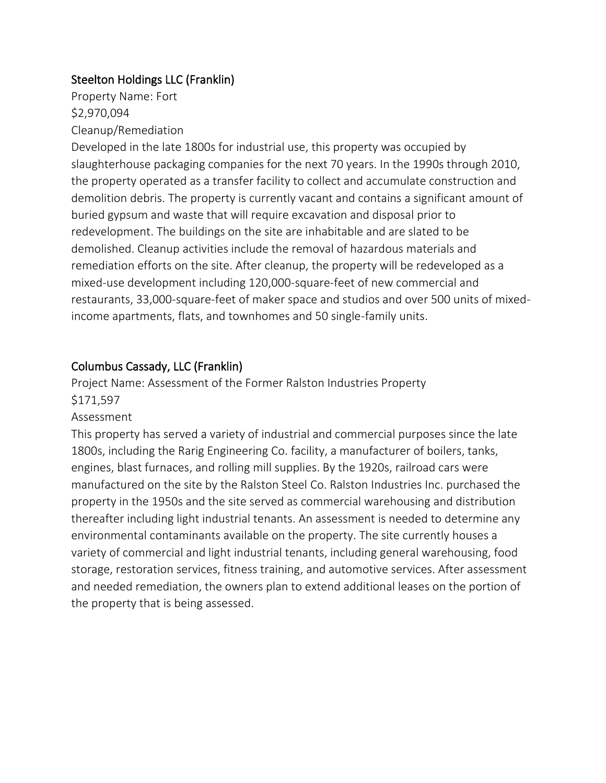## Steelton Holdings LLC (Franklin)

Property Name: Fort \$2,970,094 Cleanup/Remediation

Developed in the late 1800s for industrial use, this property was occupied by slaughterhouse packaging companies for the next 70 years. In the 1990s through 2010, the property operated as a transfer facility to collect and accumulate construction and demolition debris. The property is currently vacant and contains a significant amount of buried gypsum and waste that will require excavation and disposal prior to redevelopment. The buildings on the site are inhabitable and are slated to be demolished. Cleanup activities include the removal of hazardous materials and remediation efforts on the site. After cleanup, the property will be redeveloped as a mixed-use development including 120,000-square-feet of new commercial and restaurants, 33,000-square-feet of maker space and studios and over 500 units of mixedincome apartments, flats, and townhomes and 50 single-family units.

### Columbus Cassady, LLC (Franklin)

Project Name: Assessment of the Former Ralston Industries Property \$171,597

#### Assessment

This property has served a variety of industrial and commercial purposes since the late 1800s, including the Rarig Engineering Co. facility, a manufacturer of boilers, tanks, engines, blast furnaces, and rolling mill supplies. By the 1920s, railroad cars were manufactured on the site by the Ralston Steel Co. Ralston Industries Inc. purchased the property in the 1950s and the site served as commercial warehousing and distribution thereafter including light industrial tenants. An assessment is needed to determine any environmental contaminants available on the property. The site currently houses a variety of commercial and light industrial tenants, including general warehousing, food storage, restoration services, fitness training, and automotive services. After assessment and needed remediation, the owners plan to extend additional leases on the portion of the property that is being assessed.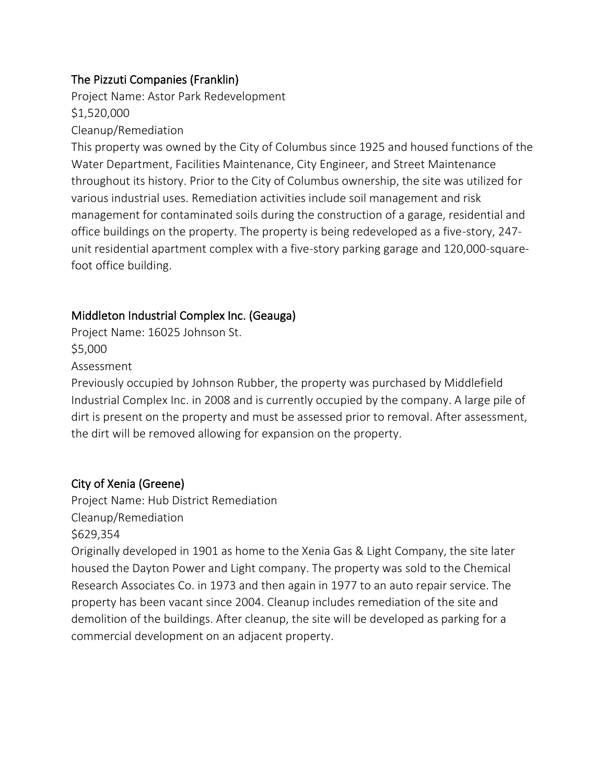## The Pizzuti Companies (Franklin)

Project Name: Astor Park Redevelopment

\$1,520,000

#### Cleanup/Remediation

This property was owned by the City of Columbus since 1925 and housed functions of the Water Department, Facilities Maintenance, City Engineer, and Street Maintenance throughout its history. Prior to the City of Columbus ownership, the site was utilized for various industrial uses. Remediation activities include soil management and risk management for contaminated soils during the construction of a garage, residential and office buildings on the property. The property is being redeveloped as a five-story, 247 unit residential apartment complex with a five-story parking garage and 120,000-squarefoot office building.

## Middleton Industrial Complex Inc. (Geauga)

Project Name: 16025 Johnson St. \$5,000 Assessment

Previously occupied by Johnson Rubber, the property was purchased by Middlefield Industrial Complex Inc. in 2008 and is currently occupied by the company. A large pile of dirt is present on the property and must be assessed prior to removal. After assessment, the dirt will be removed allowing for expansion on the property.

## City of Xenia (Greene)

Project Name: Hub District Remediation Cleanup/Remediation \$629,354

Originally developed in 1901 as home to the Xenia Gas & Light Company, the site later housed the Dayton Power and Light company. The property was sold to the Chemical Research Associates Co. in 1973 and then again in 1977 to an auto repair service. The property has been vacant since 2004. Cleanup includes remediation of the site and demolition of the buildings. After cleanup, the site will be developed as parking for a commercial development on an adjacent property.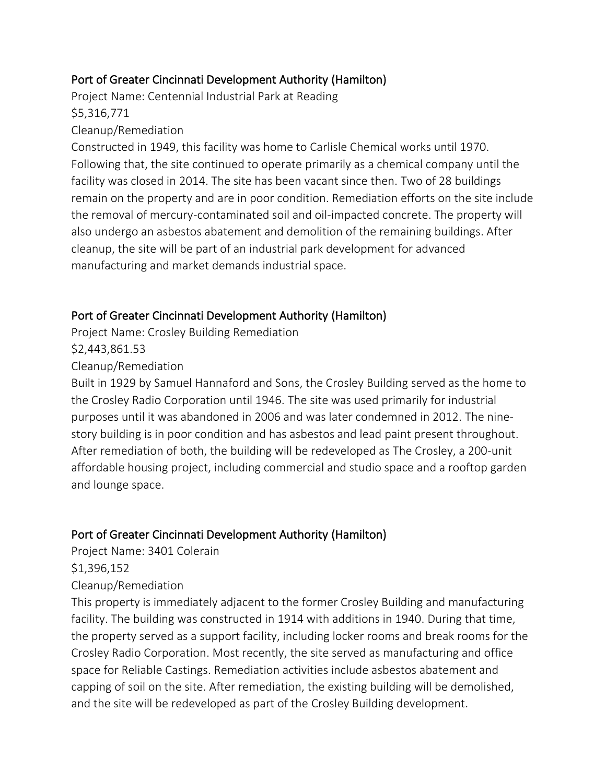## Port of Greater Cincinnati Development Authority (Hamilton)

Project Name: Centennial Industrial Park at Reading \$5,316,771

#### Cleanup/Remediation

Constructed in 1949, this facility was home to Carlisle Chemical works until 1970. Following that, the site continued to operate primarily as a chemical company until the facility was closed in 2014. The site has been vacant since then. Two of 28 buildings remain on the property and are in poor condition. Remediation efforts on the site include the removal of mercury-contaminated soil and oil-impacted concrete. The property will also undergo an asbestos abatement and demolition of the remaining buildings. After cleanup, the site will be part of an industrial park development for advanced manufacturing and market demands industrial space.

### Port of Greater Cincinnati Development Authority (Hamilton)

Project Name: Crosley Building Remediation

\$2,443,861.53

Cleanup/Remediation

Built in 1929 by Samuel Hannaford and Sons, the Crosley Building served as the home to the Crosley Radio Corporation until 1946. The site was used primarily for industrial purposes until it was abandoned in 2006 and was later condemned in 2012. The ninestory building is in poor condition and has asbestos and lead paint present throughout. After remediation of both, the building will be redeveloped as The Crosley, a 200-unit affordable housing project, including commercial and studio space and a rooftop garden and lounge space.

## Port of Greater Cincinnati Development Authority (Hamilton)

Project Name: 3401 Colerain

\$1,396,152

#### Cleanup/Remediation

This property is immediately adjacent to the former Crosley Building and manufacturing facility. The building was constructed in 1914 with additions in 1940. During that time, the property served as a support facility, including locker rooms and break rooms for the Crosley Radio Corporation. Most recently, the site served as manufacturing and office space for Reliable Castings. Remediation activities include asbestos abatement and capping of soil on the site. After remediation, the existing building will be demolished, and the site will be redeveloped as part of the Crosley Building development.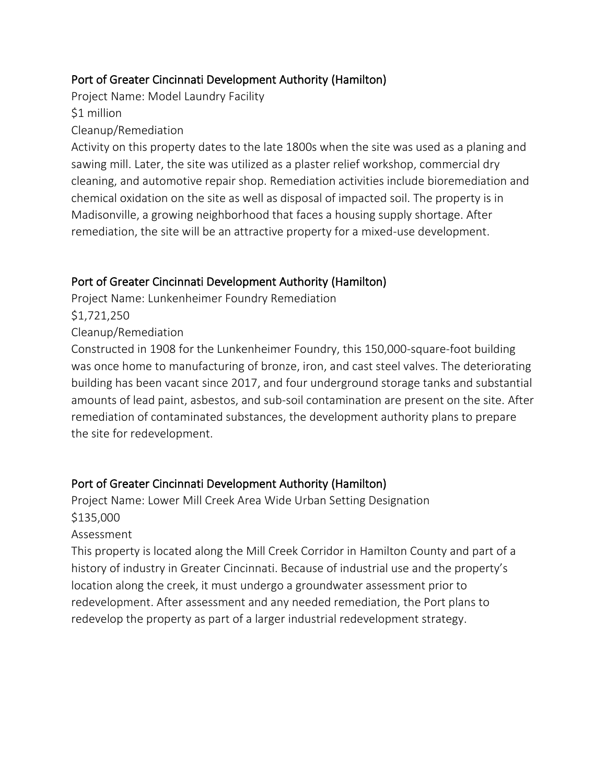## Port of Greater Cincinnati Development Authority (Hamilton)

Project Name: Model Laundry Facility

\$1 million

Cleanup/Remediation

Activity on this property dates to the late 1800s when the site was used as a planing and sawing mill. Later, the site was utilized as a plaster relief workshop, commercial dry cleaning, and automotive repair shop. Remediation activities include bioremediation and chemical oxidation on the site as well as disposal of impacted soil. The property is in Madisonville, a growing neighborhood that faces a housing supply shortage. After remediation, the site will be an attractive property for a mixed-use development.

# Port of Greater Cincinnati Development Authority (Hamilton)

Project Name: Lunkenheimer Foundry Remediation

\$1,721,250

Cleanup/Remediation

Constructed in 1908 for the Lunkenheimer Foundry, this 150,000-square-foot building was once home to manufacturing of bronze, iron, and cast steel valves. The deteriorating building has been vacant since 2017, and four underground storage tanks and substantial amounts of lead paint, asbestos, and sub-soil contamination are present on the site. After remediation of contaminated substances, the development authority plans to prepare the site for redevelopment.

# Port of Greater Cincinnati Development Authority (Hamilton)

Project Name: Lower Mill Creek Area Wide Urban Setting Designation \$135,000

# Assessment

This property is located along the Mill Creek Corridor in Hamilton County and part of a history of industry in Greater Cincinnati. Because of industrial use and the property's location along the creek, it must undergo a groundwater assessment prior to redevelopment. After assessment and any needed remediation, the Port plans to redevelop the property as part of a larger industrial redevelopment strategy.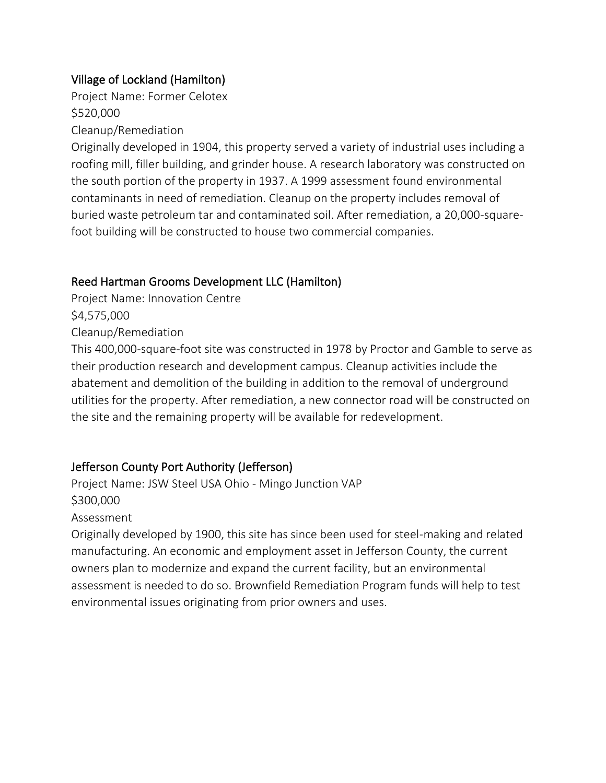## Village of Lockland (Hamilton)

Project Name: Former Celotex \$520,000

Cleanup/Remediation

Originally developed in 1904, this property served a variety of industrial uses including a roofing mill, filler building, and grinder house. A research laboratory was constructed on the south portion of the property in 1937. A 1999 assessment found environmental contaminants in need of remediation. Cleanup on the property includes removal of buried waste petroleum tar and contaminated soil. After remediation, a 20,000-squarefoot building will be constructed to house two commercial companies.

## Reed Hartman Grooms Development LLC (Hamilton)

Project Name: Innovation Centre \$4,575,000

Cleanup/Remediation

This 400,000-square-foot site was constructed in 1978 by Proctor and Gamble to serve as their production research and development campus. Cleanup activities include the abatement and demolition of the building in addition to the removal of underground utilities for the property. After remediation, a new connector road will be constructed on the site and the remaining property will be available for redevelopment.

# Jefferson County Port Authority (Jefferson)

Project Name: JSW Steel USA Ohio - Mingo Junction VAP \$300,000 Assessment

Originally developed by 1900, this site has since been used for steel-making and related manufacturing. An economic and employment asset in Jefferson County, the current owners plan to modernize and expand the current facility, but an environmental assessment is needed to do so. Brownfield Remediation Program funds will help to test environmental issues originating from prior owners and uses.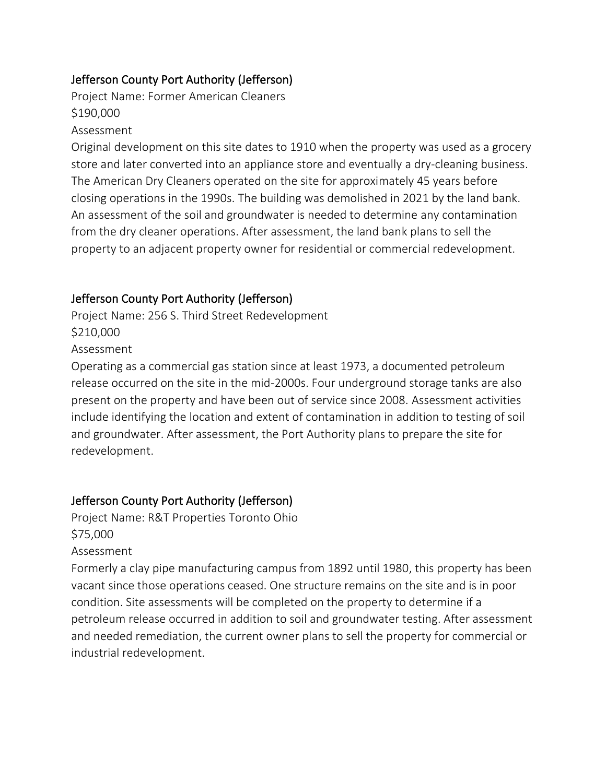## Jefferson County Port Authority (Jefferson)

Project Name: Former American Cleaners \$190,000

#### Assessment

Original development on this site dates to 1910 when the property was used as a grocery store and later converted into an appliance store and eventually a dry-cleaning business. The American Dry Cleaners operated on the site for approximately 45 years before closing operations in the 1990s. The building was demolished in 2021 by the land bank. An assessment of the soil and groundwater is needed to determine any contamination from the dry cleaner operations. After assessment, the land bank plans to sell the property to an adjacent property owner for residential or commercial redevelopment.

## Jefferson County Port Authority (Jefferson)

Project Name: 256 S. Third Street Redevelopment \$210,000

Assessment

Operating as a commercial gas station since at least 1973, a documented petroleum release occurred on the site in the mid-2000s. Four underground storage tanks are also present on the property and have been out of service since 2008. Assessment activities include identifying the location and extent of contamination in addition to testing of soil and groundwater. After assessment, the Port Authority plans to prepare the site for redevelopment.

# Jefferson County Port Authority (Jefferson)

Project Name: R&T Properties Toronto Ohio \$75,000

Assessment

Formerly a clay pipe manufacturing campus from 1892 until 1980, this property has been vacant since those operations ceased. One structure remains on the site and is in poor condition. Site assessments will be completed on the property to determine if a petroleum release occurred in addition to soil and groundwater testing. After assessment and needed remediation, the current owner plans to sell the property for commercial or industrial redevelopment.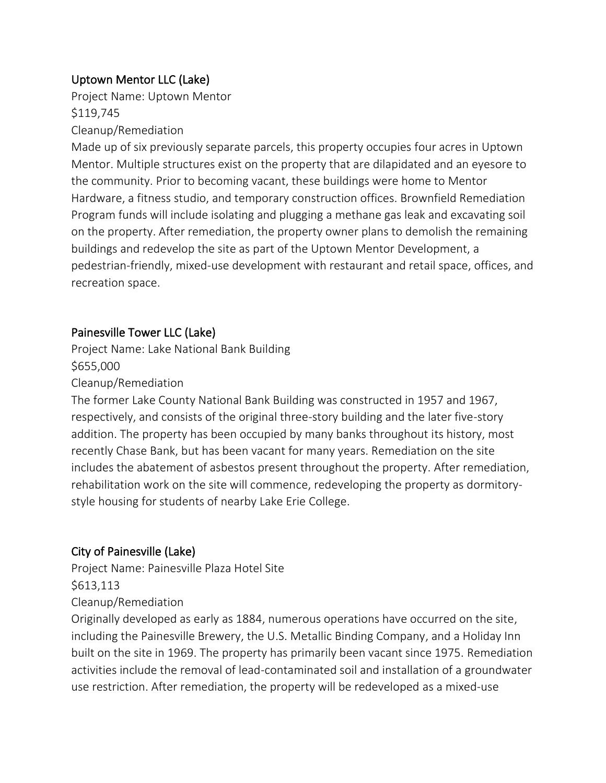# Uptown Mentor LLC (Lake)

Project Name: Uptown Mentor \$119,745

#### Cleanup/Remediation

Made up of six previously separate parcels, this property occupies four acres in Uptown Mentor. Multiple structures exist on the property that are dilapidated and an eyesore to the community. Prior to becoming vacant, these buildings were home to Mentor Hardware, a fitness studio, and temporary construction offices. Brownfield Remediation Program funds will include isolating and plugging a methane gas leak and excavating soil on the property. After remediation, the property owner plans to demolish the remaining buildings and redevelop the site as part of the Uptown Mentor Development, a pedestrian-friendly, mixed-use development with restaurant and retail space, offices, and recreation space.

### Painesville Tower LLC (Lake)

Project Name: Lake National Bank Building \$655,000

#### Cleanup/Remediation

The former Lake County National Bank Building was constructed in 1957 and 1967, respectively, and consists of the original three-story building and the later five-story addition. The property has been occupied by many banks throughout its history, most recently Chase Bank, but has been vacant for many years. Remediation on the site includes the abatement of asbestos present throughout the property. After remediation, rehabilitation work on the site will commence, redeveloping the property as dormitorystyle housing for students of nearby Lake Erie College.

## City of Painesville (Lake)

Project Name: Painesville Plaza Hotel Site \$613,113

#### Cleanup/Remediation

Originally developed as early as 1884, numerous operations have occurred on the site, including the Painesville Brewery, the U.S. Metallic Binding Company, and a Holiday Inn built on the site in 1969. The property has primarily been vacant since 1975. Remediation activities include the removal of lead-contaminated soil and installation of a groundwater use restriction. After remediation, the property will be redeveloped as a mixed-use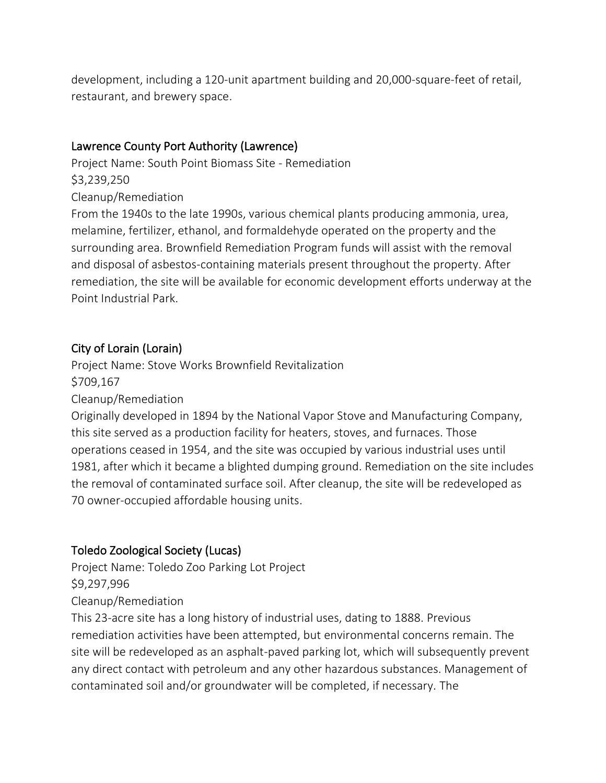development, including a 120-unit apartment building and 20,000-square-feet of retail, restaurant, and brewery space.

## Lawrence County Port Authority (Lawrence)

Project Name: South Point Biomass Site - Remediation \$3,239,250

Cleanup/Remediation

From the 1940s to the late 1990s, various chemical plants producing ammonia, urea, melamine, fertilizer, ethanol, and formaldehyde operated on the property and the surrounding area. Brownfield Remediation Program funds will assist with the removal and disposal of asbestos-containing materials present throughout the property. After remediation, the site will be available for economic development efforts underway at the Point Industrial Park.

## City of Lorain (Lorain)

Project Name: Stove Works Brownfield Revitalization \$709,167

Cleanup/Remediation

Originally developed in 1894 by the National Vapor Stove and Manufacturing Company, this site served as a production facility for heaters, stoves, and furnaces. Those operations ceased in 1954, and the site was occupied by various industrial uses until 1981, after which it became a blighted dumping ground. Remediation on the site includes the removal of contaminated surface soil. After cleanup, the site will be redeveloped as 70 owner-occupied affordable housing units.

## Toledo Zoological Society (Lucas)

Project Name: Toledo Zoo Parking Lot Project \$9,297,996 Cleanup/Remediation

This 23-acre site has a long history of industrial uses, dating to 1888. Previous remediation activities have been attempted, but environmental concerns remain. The site will be redeveloped as an asphalt-paved parking lot, which will subsequently prevent any direct contact with petroleum and any other hazardous substances. Management of contaminated soil and/or groundwater will be completed, if necessary. The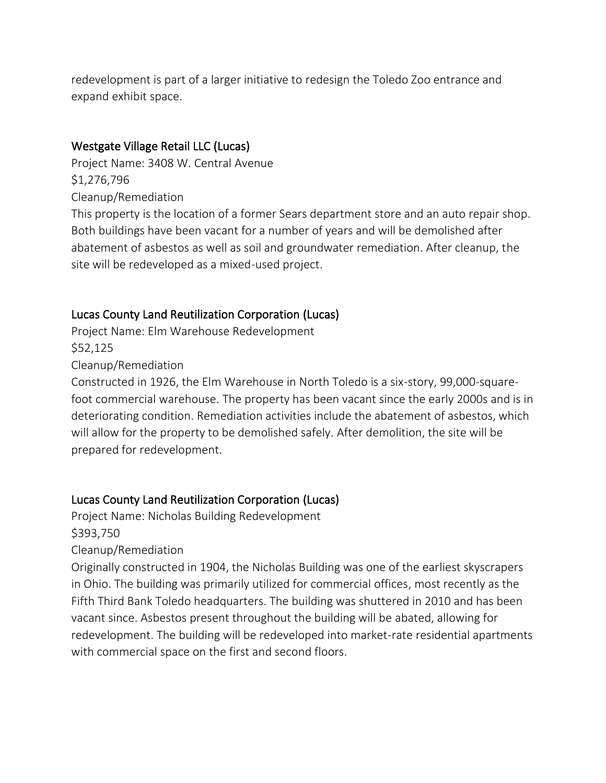redevelopment is part of a larger initiative to redesign the Toledo Zoo entrance and expand exhibit space.

### Westgate Village Retail LLC (Lucas)

Project Name: 3408 W. Central Avenue \$1,276,796 Cleanup/Remediation

This property is the location of a former Sears department store and an auto repair shop. Both buildings have been vacant for a number of years and will be demolished after abatement of asbestos as well as soil and groundwater remediation. After cleanup, the site will be redeveloped as a mixed-used project.

### Lucas County Land Reutilization Corporation (Lucas)

Project Name: Elm Warehouse Redevelopment \$52,125 Cleanup/Remediation

Constructed in 1926, the Elm Warehouse in North Toledo is a six-story, 99,000-squarefoot commercial warehouse. The property has been vacant since the early 2000s and is in deteriorating condition. Remediation activities include the abatement of asbestos, which will allow for the property to be demolished safely. After demolition, the site will be prepared for redevelopment.

#### Lucas County Land Reutilization Corporation (Lucas)

Project Name: Nicholas Building Redevelopment \$393,750

Cleanup/Remediation

Originally constructed in 1904, the Nicholas Building was one of the earliest skyscrapers in Ohio. The building was primarily utilized for commercial offices, most recently as the Fifth Third Bank Toledo headquarters. The building was shuttered in 2010 and has been vacant since. Asbestos present throughout the building will be abated, allowing for redevelopment. The building will be redeveloped into market-rate residential apartments with commercial space on the first and second floors.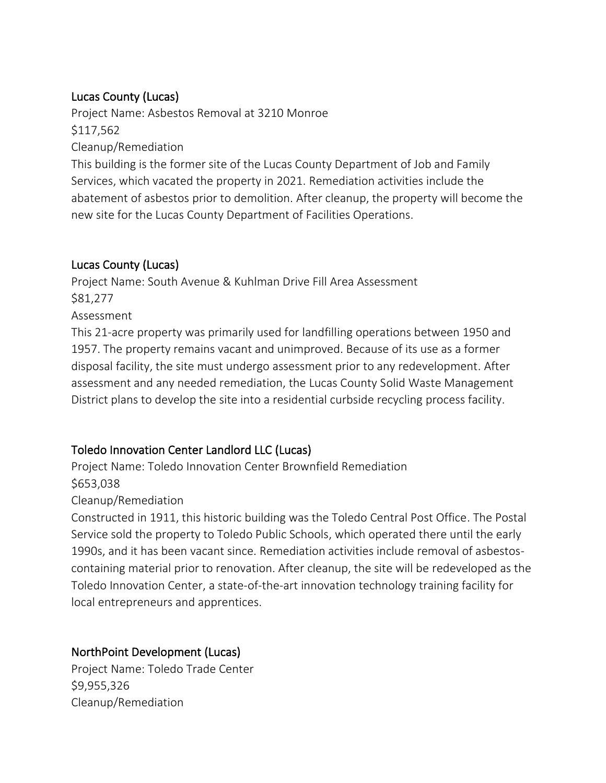## Lucas County (Lucas)

Project Name: Asbestos Removal at 3210 Monroe \$117,562 Cleanup/Remediation

This building is the former site of the Lucas County Department of Job and Family Services, which vacated the property in 2021. Remediation activities include the abatement of asbestos prior to demolition. After cleanup, the property will become the new site for the Lucas County Department of Facilities Operations.

## Lucas County (Lucas)

Project Name: South Avenue & Kuhlman Drive Fill Area Assessment \$81,277 Assessment This 21-acre property was primarily used for landfilling operations between 1950 and 1957. The property remains vacant and unimproved. Because of its use as a former disposal facility, the site must undergo assessment prior to any redevelopment. After assessment and any needed remediation, the Lucas County Solid Waste Management District plans to develop the site into a residential curbside recycling process facility.

# Toledo Innovation Center Landlord LLC (Lucas)

Project Name: Toledo Innovation Center Brownfield Remediation \$653,038

Cleanup/Remediation

Constructed in 1911, this historic building was the Toledo Central Post Office. The Postal Service sold the property to Toledo Public Schools, which operated there until the early 1990s, and it has been vacant since. Remediation activities include removal of asbestoscontaining material prior to renovation. After cleanup, the site will be redeveloped as the Toledo Innovation Center, a state-of-the-art innovation technology training facility for local entrepreneurs and apprentices.

## NorthPoint Development (Lucas)

Project Name: Toledo Trade Center \$9,955,326 Cleanup/Remediation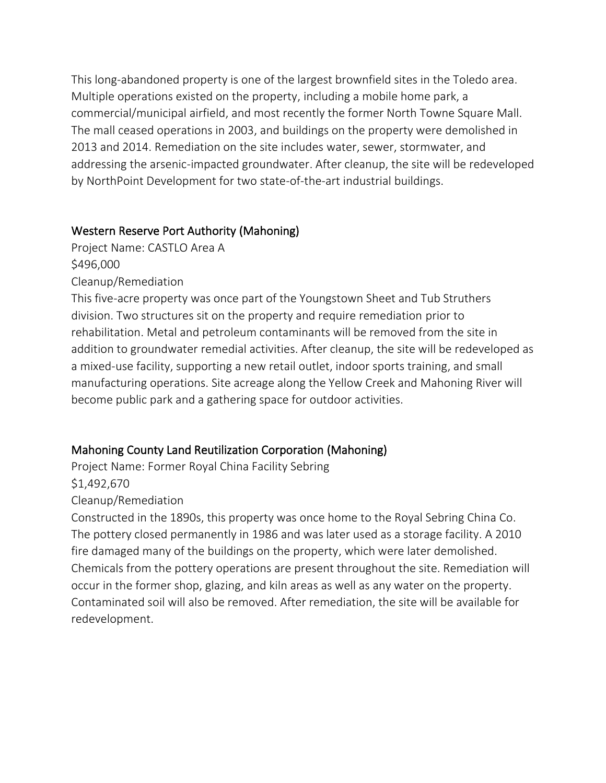This long-abandoned property is one of the largest brownfield sites in the Toledo area. Multiple operations existed on the property, including a mobile home park, a commercial/municipal airfield, and most recently the former North Towne Square Mall. The mall ceased operations in 2003, and buildings on the property were demolished in 2013 and 2014. Remediation on the site includes water, sewer, stormwater, and addressing the arsenic-impacted groundwater. After cleanup, the site will be redeveloped by NorthPoint Development for two state-of-the-art industrial buildings.

## Western Reserve Port Authority (Mahoning)

Project Name: CASTLO Area A \$496,000 Cleanup/Remediation

This five-acre property was once part of the Youngstown Sheet and Tub Struthers division. Two structures sit on the property and require remediation prior to rehabilitation. Metal and petroleum contaminants will be removed from the site in addition to groundwater remedial activities. After cleanup, the site will be redeveloped as a mixed-use facility, supporting a new retail outlet, indoor sports training, and small manufacturing operations. Site acreage along the Yellow Creek and Mahoning River will become public park and a gathering space for outdoor activities.

# Mahoning County Land Reutilization Corporation (Mahoning)

Project Name: Former Royal China Facility Sebring \$1,492,670

Cleanup/Remediation

Constructed in the 1890s, this property was once home to the Royal Sebring China Co. The pottery closed permanently in 1986 and was later used as a storage facility. A 2010 fire damaged many of the buildings on the property, which were later demolished. Chemicals from the pottery operations are present throughout the site. Remediation will occur in the former shop, glazing, and kiln areas as well as any water on the property. Contaminated soil will also be removed. After remediation, the site will be available for redevelopment.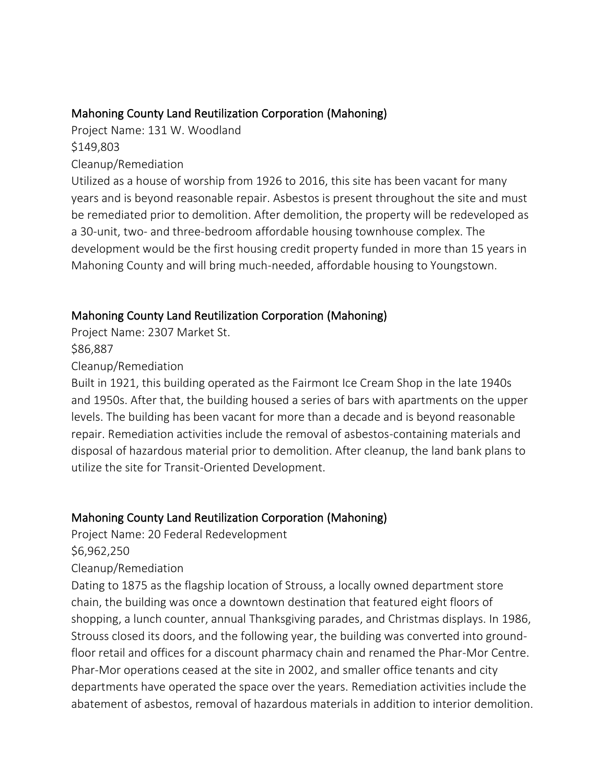### Mahoning County Land Reutilization Corporation (Mahoning)

Project Name: 131 W. Woodland \$149,803

Cleanup/Remediation

Utilized as a house of worship from 1926 to 2016, this site has been vacant for many years and is beyond reasonable repair. Asbestos is present throughout the site and must be remediated prior to demolition. After demolition, the property will be redeveloped as a 30-unit, two- and three-bedroom affordable housing townhouse complex. The development would be the first housing credit property funded in more than 15 years in Mahoning County and will bring much-needed, affordable housing to Youngstown.

## Mahoning County Land Reutilization Corporation (Mahoning)

Project Name: 2307 Market St.

\$86,887

Cleanup/Remediation

Built in 1921, this building operated as the Fairmont Ice Cream Shop in the late 1940s and 1950s. After that, the building housed a series of bars with apartments on the upper levels. The building has been vacant for more than a decade and is beyond reasonable repair. Remediation activities include the removal of asbestos-containing materials and disposal of hazardous material prior to demolition. After cleanup, the land bank plans to utilize the site for Transit-Oriented Development.

## Mahoning County Land Reutilization Corporation (Mahoning)

Project Name: 20 Federal Redevelopment

\$6,962,250

Cleanup/Remediation

Dating to 1875 as the flagship location of Strouss, a locally owned department store chain, the building was once a downtown destination that featured eight floors of shopping, a lunch counter, annual Thanksgiving parades, and Christmas displays. In 1986, Strouss closed its doors, and the following year, the building was converted into groundfloor retail and offices for a discount pharmacy chain and renamed the Phar-Mor Centre. Phar-Mor operations ceased at the site in 2002, and smaller office tenants and city departments have operated the space over the years. Remediation activities include the abatement of asbestos, removal of hazardous materials in addition to interior demolition.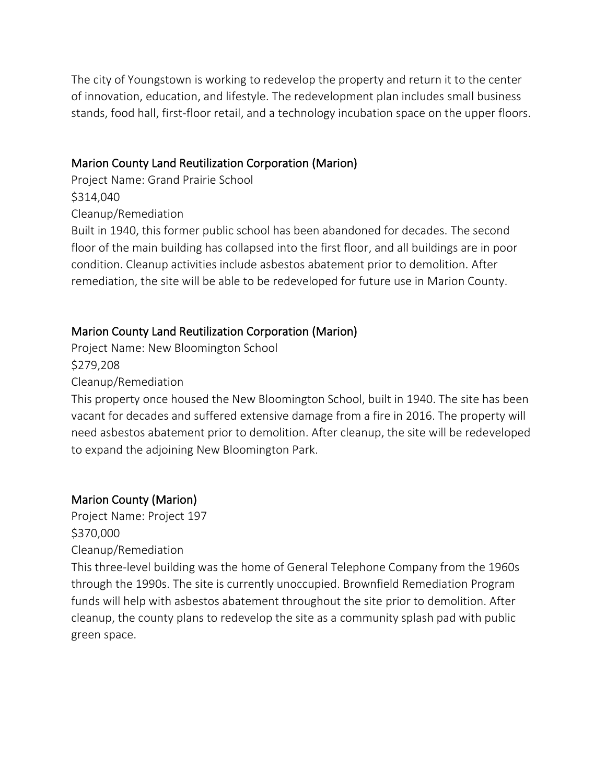The city of Youngstown is working to redevelop the property and return it to the center of innovation, education, and lifestyle. The redevelopment plan includes small business stands, food hall, first-floor retail, and a technology incubation space on the upper floors.

#### Marion County Land Reutilization Corporation (Marion)

Project Name: Grand Prairie School \$314,040 Cleanup/Remediation

Built in 1940, this former public school has been abandoned for decades. The second floor of the main building has collapsed into the first floor, and all buildings are in poor condition. Cleanup activities include asbestos abatement prior to demolition. After remediation, the site will be able to be redeveloped for future use in Marion County.

## Marion County Land Reutilization Corporation (Marion)

Project Name: New Bloomington School \$279,208 Cleanup/Remediation

This property once housed the New Bloomington School, built in 1940. The site has been vacant for decades and suffered extensive damage from a fire in 2016. The property will need asbestos abatement prior to demolition. After cleanup, the site will be redeveloped to expand the adjoining New Bloomington Park.

# Marion County (Marion)

Project Name: Project 197 \$370,000 Cleanup/Remediation

This three-level building was the home of General Telephone Company from the 1960s through the 1990s. The site is currently unoccupied. Brownfield Remediation Program funds will help with asbestos abatement throughout the site prior to demolition. After cleanup, the county plans to redevelop the site as a community splash pad with public green space.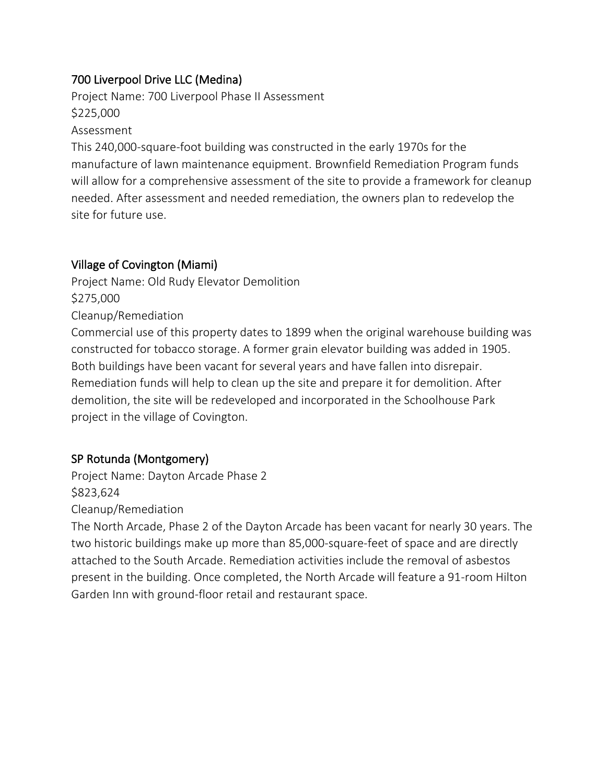## 700 Liverpool Drive LLC (Medina)

Project Name: 700 Liverpool Phase II Assessment \$225,000

Assessment

This 240,000-square-foot building was constructed in the early 1970s for the manufacture of lawn maintenance equipment. Brownfield Remediation Program funds will allow for a comprehensive assessment of the site to provide a framework for cleanup needed. After assessment and needed remediation, the owners plan to redevelop the site for future use.

### Village of Covington (Miami)

Project Name: Old Rudy Elevator Demolition \$275,000 Cleanup/Remediation Commercial use of this property dates to 1899 when the original warehouse building was constructed for tobacco storage. A former grain elevator building was added in 1905. Both buildings have been vacant for several years and have fallen into disrepair. Remediation funds will help to clean up the site and prepare it for demolition. After demolition, the site will be redeveloped and incorporated in the Schoolhouse Park project in the village of Covington.

## SP Rotunda (Montgomery)

Project Name: Dayton Arcade Phase 2 \$823,624 Cleanup/Remediation

The North Arcade, Phase 2 of the Dayton Arcade has been vacant for nearly 30 years. The two historic buildings make up more than 85,000-square-feet of space and are directly attached to the South Arcade. Remediation activities include the removal of asbestos present in the building. Once completed, the North Arcade will feature a 91-room Hilton Garden Inn with ground-floor retail and restaurant space.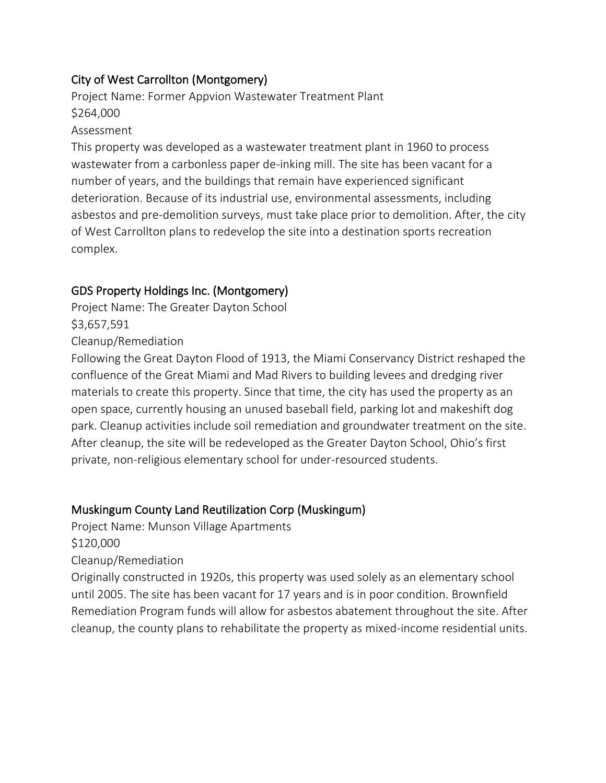## City of West Carrollton (Montgomery)

Project Name: Former Appvion Wastewater Treatment Plant \$264,000

#### Assessment

This property was developed as a wastewater treatment plant in 1960 to process wastewater from a carbonless paper de-inking mill. The site has been vacant for a number of years, and the buildings that remain have experienced significant deterioration. Because of its industrial use, environmental assessments, including asbestos and pre-demolition surveys, must take place prior to demolition. After, the city of West Carrollton plans to redevelop the site into a destination sports recreation complex.

## GDS Property Holdings Inc. (Montgomery)

Project Name: The Greater Dayton School \$3,657,591

Cleanup/Remediation

Following the Great Dayton Flood of 1913, the Miami Conservancy District reshaped the confluence of the Great Miami and Mad Rivers to building levees and dredging river materials to create this property. Since that time, the city has used the property as an open space, currently housing an unused baseball field, parking lot and makeshift dog park. Cleanup activities include soil remediation and groundwater treatment on the site. After cleanup, the site will be redeveloped as the Greater Dayton School, Ohio's first private, non-religious elementary school for under-resourced students.

## Muskingum County Land Reutilization Corp (Muskingum)

Project Name: Munson Village Apartments

\$120,000

Cleanup/Remediation

Originally constructed in 1920s, this property was used solely as an elementary school until 2005. The site has been vacant for 17 years and is in poor condition. Brownfield Remediation Program funds will allow for asbestos abatement throughout the site. After cleanup, the county plans to rehabilitate the property as mixed-income residential units.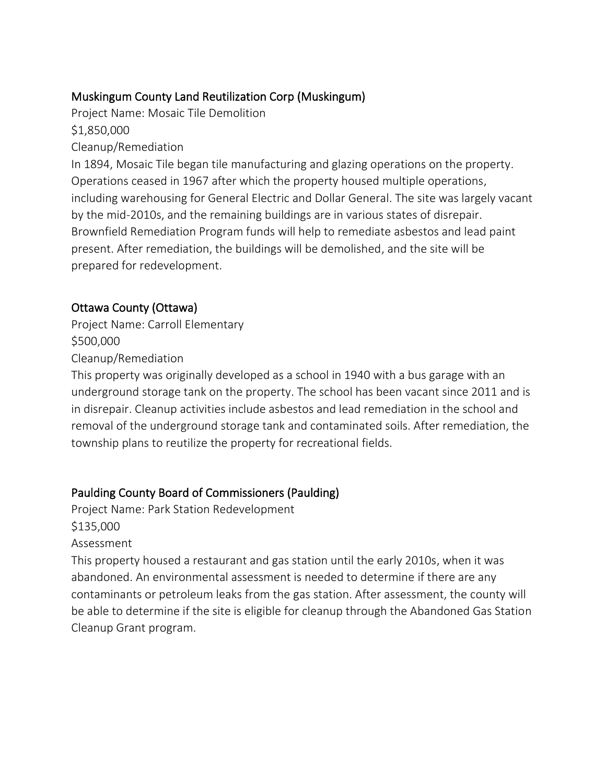# Muskingum County Land Reutilization Corp (Muskingum)

Project Name: Mosaic Tile Demolition

\$1,850,000

Cleanup/Remediation

In 1894, Mosaic Tile began tile manufacturing and glazing operations on the property. Operations ceased in 1967 after which the property housed multiple operations, including warehousing for General Electric and Dollar General. The site was largely vacant by the mid-2010s, and the remaining buildings are in various states of disrepair. Brownfield Remediation Program funds will help to remediate asbestos and lead paint present. After remediation, the buildings will be demolished, and the site will be prepared for redevelopment.

## Ottawa County (Ottawa)

Project Name: Carroll Elementary \$500,000

Cleanup/Remediation

This property was originally developed as a school in 1940 with a bus garage with an underground storage tank on the property. The school has been vacant since 2011 and is in disrepair. Cleanup activities include asbestos and lead remediation in the school and removal of the underground storage tank and contaminated soils. After remediation, the township plans to reutilize the property for recreational fields.

# Paulding County Board of Commissioners (Paulding)

Project Name: Park Station Redevelopment \$135,000 Assessment

This property housed a restaurant and gas station until the early 2010s, when it was abandoned. An environmental assessment is needed to determine if there are any contaminants or petroleum leaks from the gas station. After assessment, the county will be able to determine if the site is eligible for cleanup through the Abandoned Gas Station Cleanup Grant program.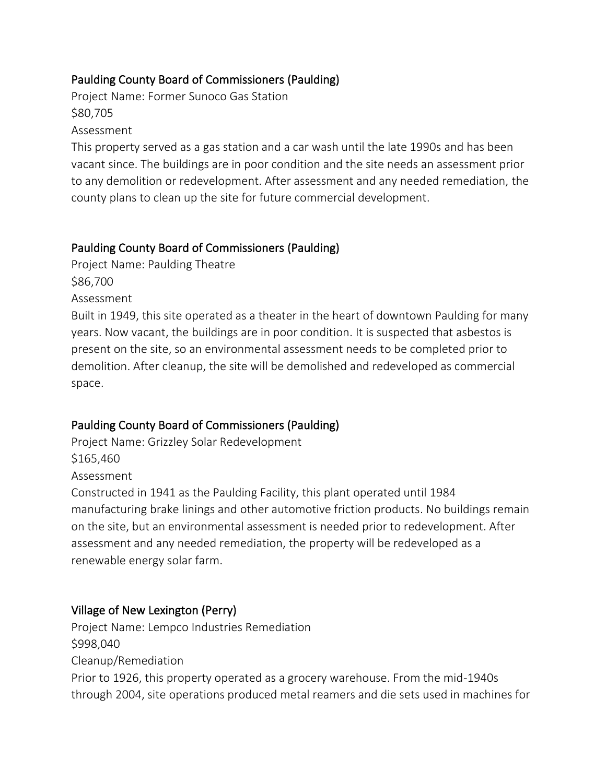## Paulding County Board of Commissioners (Paulding)

Project Name: Former Sunoco Gas Station \$80,705

Assessment

This property served as a gas station and a car wash until the late 1990s and has been vacant since. The buildings are in poor condition and the site needs an assessment prior to any demolition or redevelopment. After assessment and any needed remediation, the county plans to clean up the site for future commercial development.

### Paulding County Board of Commissioners (Paulding)

Project Name: Paulding Theatre \$86,700

Assessment

Built in 1949, this site operated as a theater in the heart of downtown Paulding for many years. Now vacant, the buildings are in poor condition. It is suspected that asbestos is present on the site, so an environmental assessment needs to be completed prior to demolition. After cleanup, the site will be demolished and redeveloped as commercial space.

## Paulding County Board of Commissioners (Paulding)

Project Name: Grizzley Solar Redevelopment

\$165,460

Assessment

Constructed in 1941 as the Paulding Facility, this plant operated until 1984 manufacturing brake linings and other automotive friction products. No buildings remain on the site, but an environmental assessment is needed prior to redevelopment. After assessment and any needed remediation, the property will be redeveloped as a renewable energy solar farm.

## Village of New Lexington (Perry)

Project Name: Lempco Industries Remediation \$998,040 Cleanup/Remediation Prior to 1926, this property operated as a grocery warehouse. From the mid-1940s through 2004, site operations produced metal reamers and die sets used in machines for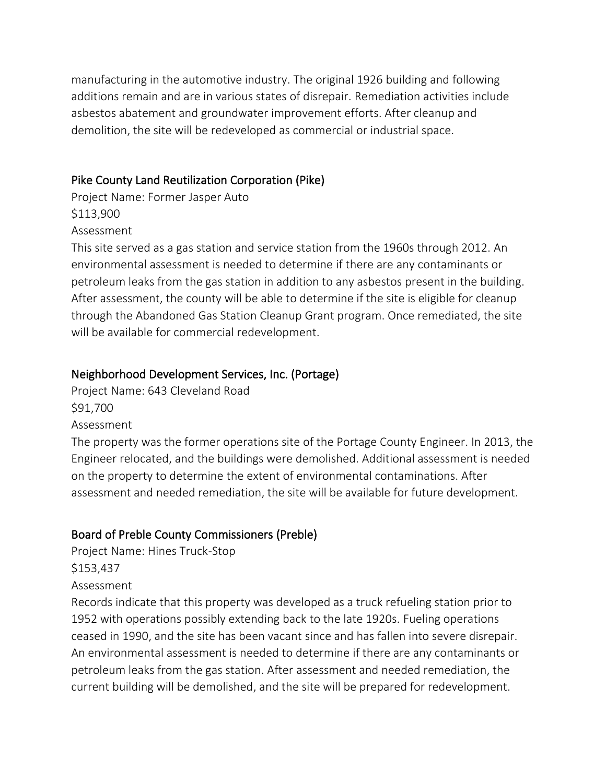manufacturing in the automotive industry. The original 1926 building and following additions remain and are in various states of disrepair. Remediation activities include asbestos abatement and groundwater improvement efforts. After cleanup and demolition, the site will be redeveloped as commercial or industrial space.

#### Pike County Land Reutilization Corporation (Pike)

Project Name: Former Jasper Auto \$113,900 Assessment

This site served as a gas station and service station from the 1960s through 2012. An environmental assessment is needed to determine if there are any contaminants or petroleum leaks from the gas station in addition to any asbestos present in the building. After assessment, the county will be able to determine if the site is eligible for cleanup through the Abandoned Gas Station Cleanup Grant program. Once remediated, the site will be available for commercial redevelopment.

#### Neighborhood Development Services, Inc. (Portage)

Project Name: 643 Cleveland Road \$91,700

Assessment

The property was the former operations site of the Portage County Engineer. In 2013, the Engineer relocated, and the buildings were demolished. Additional assessment is needed on the property to determine the extent of environmental contaminations. After assessment and needed remediation, the site will be available for future development.

#### Board of Preble County Commissioners (Preble)

Project Name: Hines Truck-Stop \$153,437

#### Assessment

Records indicate that this property was developed as a truck refueling station prior to 1952 with operations possibly extending back to the late 1920s. Fueling operations ceased in 1990, and the site has been vacant since and has fallen into severe disrepair. An environmental assessment is needed to determine if there are any contaminants or petroleum leaks from the gas station. After assessment and needed remediation, the current building will be demolished, and the site will be prepared for redevelopment.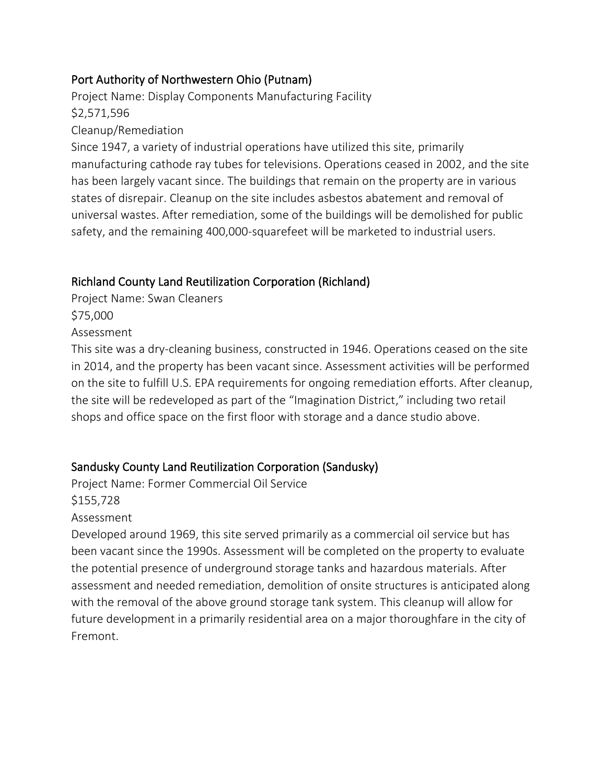## Port Authority of Northwestern Ohio (Putnam)

Project Name: Display Components Manufacturing Facility \$2,571,596 Cleanup/Remediation

Since 1947, a variety of industrial operations have utilized this site, primarily manufacturing cathode ray tubes for televisions. Operations ceased in 2002, and the site has been largely vacant since. The buildings that remain on the property are in various states of disrepair. Cleanup on the site includes asbestos abatement and removal of universal wastes. After remediation, some of the buildings will be demolished for public safety, and the remaining 400,000-squarefeet will be marketed to industrial users.

## Richland County Land Reutilization Corporation (Richland)

Project Name: Swan Cleaners \$75,000 Assessment

This site was a dry-cleaning business, constructed in 1946. Operations ceased on the site in 2014, and the property has been vacant since. Assessment activities will be performed on the site to fulfill U.S. EPA requirements for ongoing remediation efforts. After cleanup, the site will be redeveloped as part of the "Imagination District," including two retail shops and office space on the first floor with storage and a dance studio above.

# Sandusky County Land Reutilization Corporation (Sandusky)

Project Name: Former Commercial Oil Service \$155,728 Assessment

Developed around 1969, this site served primarily as a commercial oil service but has been vacant since the 1990s. Assessment will be completed on the property to evaluate the potential presence of underground storage tanks and hazardous materials. After assessment and needed remediation, demolition of onsite structures is anticipated along with the removal of the above ground storage tank system. This cleanup will allow for future development in a primarily residential area on a major thoroughfare in the city of Fremont.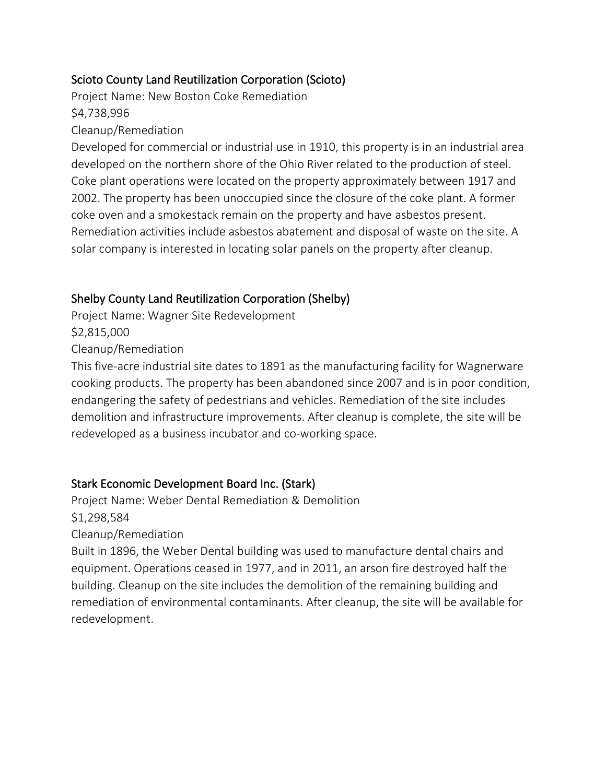## Scioto County Land Reutilization Corporation (Scioto)

Project Name: New Boston Coke Remediation \$4,738,996

#### Cleanup/Remediation

Developed for commercial or industrial use in 1910, this property is in an industrial area developed on the northern shore of the Ohio River related to the production of steel. Coke plant operations were located on the property approximately between 1917 and 2002. The property has been unoccupied since the closure of the coke plant. A former coke oven and a smokestack remain on the property and have asbestos present. Remediation activities include asbestos abatement and disposal of waste on the site. A solar company is interested in locating solar panels on the property after cleanup.

## Shelby County Land Reutilization Corporation (Shelby)

Project Name: Wagner Site Redevelopment \$2,815,000 Cleanup/Remediation

This five-acre industrial site dates to 1891 as the manufacturing facility for Wagnerware cooking products. The property has been abandoned since 2007 and is in poor condition, endangering the safety of pedestrians and vehicles. Remediation of the site includes demolition and infrastructure improvements. After cleanup is complete, the site will be redeveloped as a business incubator and co-working space.

## Stark Economic Development Board Inc. (Stark)

Project Name: Weber Dental Remediation & Demolition \$1,298,584 Cleanup/Remediation

Built in 1896, the Weber Dental building was used to manufacture dental chairs and equipment. Operations ceased in 1977, and in 2011, an arson fire destroyed half the building. Cleanup on the site includes the demolition of the remaining building and remediation of environmental contaminants. After cleanup, the site will be available for redevelopment.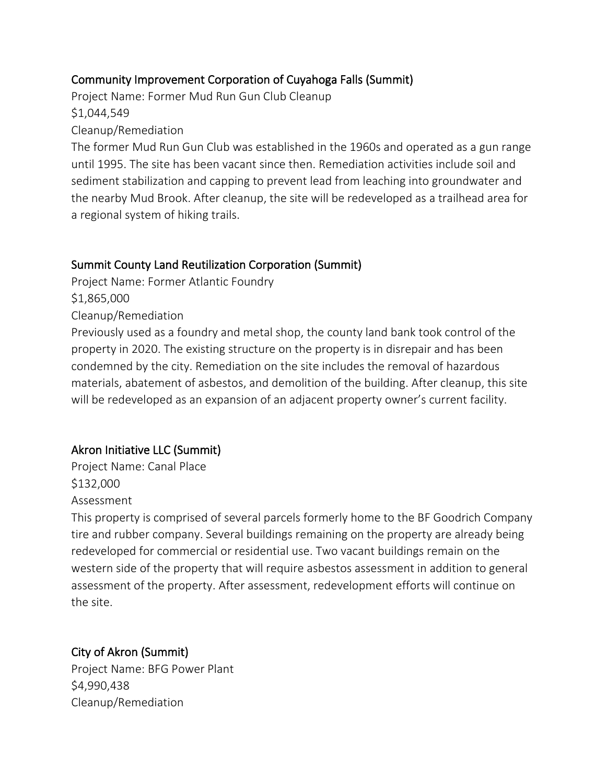## Community Improvement Corporation of Cuyahoga Falls (Summit)

Project Name: Former Mud Run Gun Club Cleanup \$1,044,549

Cleanup/Remediation

The former Mud Run Gun Club was established in the 1960s and operated as a gun range until 1995. The site has been vacant since then. Remediation activities include soil and sediment stabilization and capping to prevent lead from leaching into groundwater and the nearby Mud Brook. After cleanup, the site will be redeveloped as a trailhead area for a regional system of hiking trails.

## Summit County Land Reutilization Corporation (Summit)

Project Name: Former Atlantic Foundry

\$1,865,000

Cleanup/Remediation

Previously used as a foundry and metal shop, the county land bank took control of the property in 2020. The existing structure on the property is in disrepair and has been condemned by the city. Remediation on the site includes the removal of hazardous materials, abatement of asbestos, and demolition of the building. After cleanup, this site will be redeveloped as an expansion of an adjacent property owner's current facility.

# Akron Initiative LLC (Summit)

Project Name: Canal Place \$132,000 Assessment

This property is comprised of several parcels formerly home to the BF Goodrich Company tire and rubber company. Several buildings remaining on the property are already being redeveloped for commercial or residential use. Two vacant buildings remain on the western side of the property that will require asbestos assessment in addition to general assessment of the property. After assessment, redevelopment efforts will continue on the site.

## City of Akron (Summit)

Project Name: BFG Power Plant \$4,990,438 Cleanup/Remediation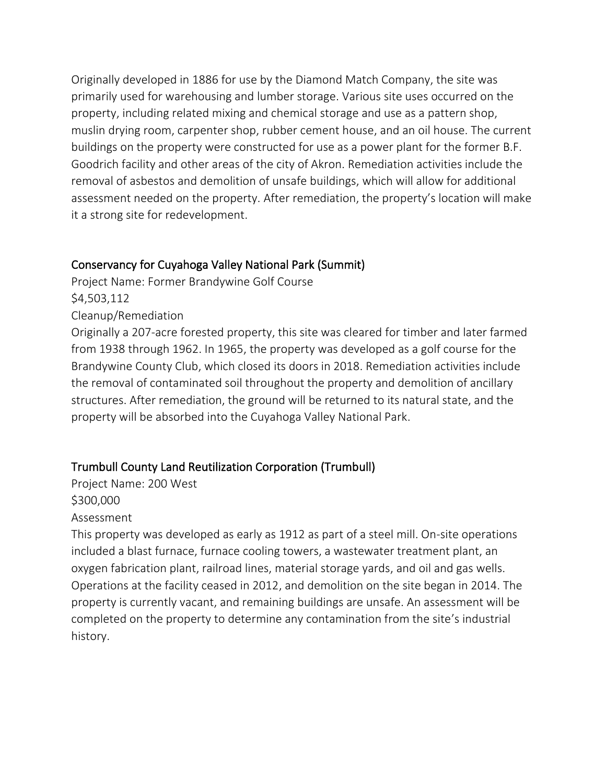Originally developed in 1886 for use by the Diamond Match Company, the site was primarily used for warehousing and lumber storage. Various site uses occurred on the property, including related mixing and chemical storage and use as a pattern shop, muslin drying room, carpenter shop, rubber cement house, and an oil house. The current buildings on the property were constructed for use as a power plant for the former B.F. Goodrich facility and other areas of the city of Akron. Remediation activities include the removal of asbestos and demolition of unsafe buildings, which will allow for additional assessment needed on the property. After remediation, the property's location will make it a strong site for redevelopment.

#### Conservancy for Cuyahoga Valley National Park (Summit)

Project Name: Former Brandywine Golf Course \$4,503,112 Cleanup/Remediation Originally a 207-acre forested property, this site was cleared for timber and later farmed

from 1938 through 1962. In 1965, the property was developed as a golf course for the Brandywine County Club, which closed its doors in 2018. Remediation activities include the removal of contaminated soil throughout the property and demolition of ancillary structures. After remediation, the ground will be returned to its natural state, and the property will be absorbed into the Cuyahoga Valley National Park.

# Trumbull County Land Reutilization Corporation (Trumbull)

Project Name: 200 West \$300,000 Assessment

This property was developed as early as 1912 as part of a steel mill. On-site operations included a blast furnace, furnace cooling towers, a wastewater treatment plant, an oxygen fabrication plant, railroad lines, material storage yards, and oil and gas wells. Operations at the facility ceased in 2012, and demolition on the site began in 2014. The property is currently vacant, and remaining buildings are unsafe. An assessment will be completed on the property to determine any contamination from the site's industrial history.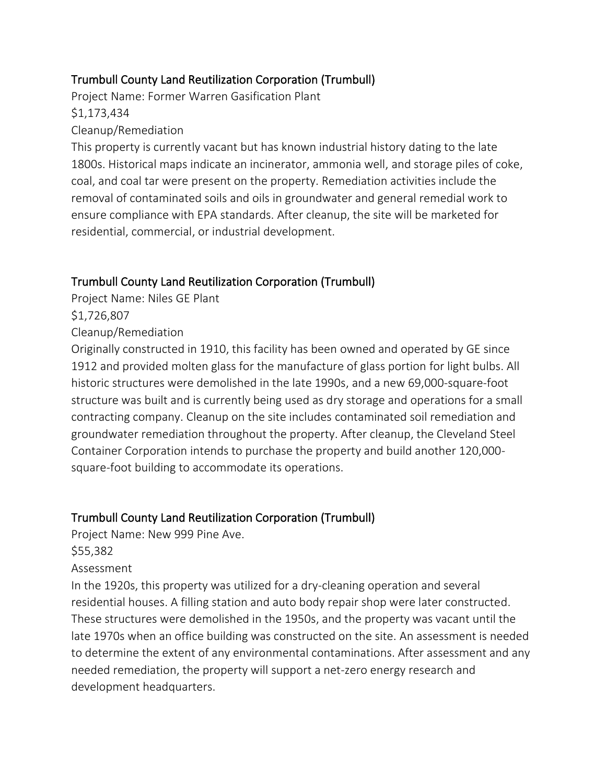## Trumbull County Land Reutilization Corporation (Trumbull)

Project Name: Former Warren Gasification Plant \$1,173,434

## Cleanup/Remediation

This property is currently vacant but has known industrial history dating to the late 1800s. Historical maps indicate an incinerator, ammonia well, and storage piles of coke, coal, and coal tar were present on the property. Remediation activities include the removal of contaminated soils and oils in groundwater and general remedial work to ensure compliance with EPA standards. After cleanup, the site will be marketed for residential, commercial, or industrial development.

# Trumbull County Land Reutilization Corporation (Trumbull)

Project Name: Niles GE Plant

\$1,726,807

Cleanup/Remediation

Originally constructed in 1910, this facility has been owned and operated by GE since 1912 and provided molten glass for the manufacture of glass portion for light bulbs. All historic structures were demolished in the late 1990s, and a new 69,000-square-foot structure was built and is currently being used as dry storage and operations for a small contracting company. Cleanup on the site includes contaminated soil remediation and groundwater remediation throughout the property. After cleanup, the Cleveland Steel Container Corporation intends to purchase the property and build another 120,000 square-foot building to accommodate its operations.

# Trumbull County Land Reutilization Corporation (Trumbull)

Project Name: New 999 Pine Ave.

\$55,382

#### Assessment

In the 1920s, this property was utilized for a dry-cleaning operation and several residential houses. A filling station and auto body repair shop were later constructed. These structures were demolished in the 1950s, and the property was vacant until the late 1970s when an office building was constructed on the site. An assessment is needed to determine the extent of any environmental contaminations. After assessment and any needed remediation, the property will support a net-zero energy research and development headquarters.